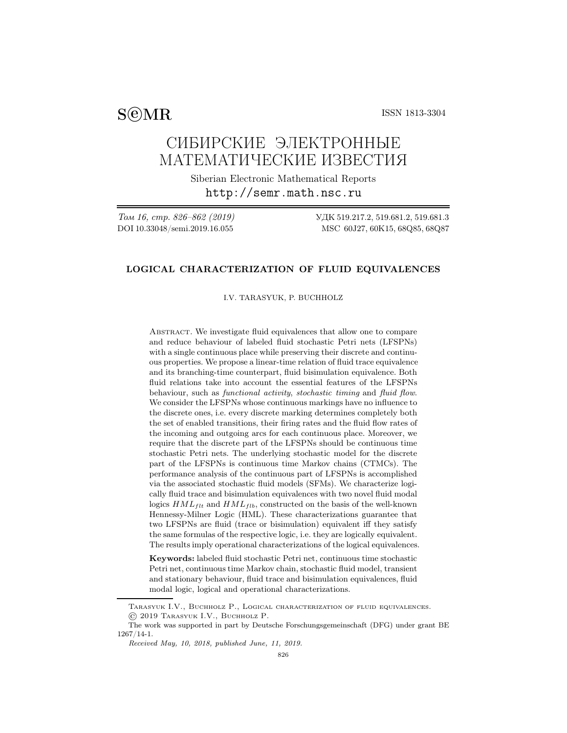$S@MR$  ISSN 1813-3304

# СИБИРСКИЕ ЭЛЕКТРОННЫЕ МАТЕМАТИЧЕСКИЕ ИЗВЕСТИЯ

Siberian Electronic Mathematical Reports http://semr.math.nsc.ru

Том 16, стр. 826–862 (2019) УДК 519.217.2, 519.681.2, 519.681.3 DOI 10.33048/semi.2019.16.055 MSC 60J27, 60K15, 68Q85, 68Q87

# LOGICAL CHARACTERIZATION OF FLUID EQUIVALENCES

I.V. TARASYUK, P. BUCHHOLZ

ABSTRACT. We investigate fluid equivalences that allow one to compare and reduce behaviour of labeled fluid stochastic Petri nets (LFSPNs) with a single continuous place while preserving their discrete and continuous properties. We propose a linear-time relation of fluid trace equivalence and its branching-time counterpart, fluid bisimulation equivalence. Both fluid relations take into account the essential features of the LFSPNs behaviour, such as functional activity, stochastic timing and fluid flow. We consider the LFSPNs whose continuous markings have no influence to the discrete ones, i.e. every discrete marking determines completely both the set of enabled transitions, their firing rates and the fluid flow rates of the incoming and outgoing arcs for each continuous place. Moreover, we require that the discrete part of the LFSPNs should be continuous time stochastic Petri nets. The underlying stochastic model for the discrete part of the LFSPNs is continuous time Markov chains (CTMCs). The performance analysis of the continuous part of LFSPNs is accomplished via the associated stochastic fluid models (SFMs). We characterize logically fluid trace and bisimulation equivalences with two novel fluid modal logics  $HML_{filt}$  and  $HML_{fib}$ , constructed on the basis of the well-known Hennessy-Milner Logic (HML). These characterizations guarantee that two LFSPNs are fluid (trace or bisimulation) equivalent iff they satisfy the same formulas of the respective logic, i.e. they are logically equivalent. The results imply operational characterizations of the logical equivalences.

Keywords: labeled fluid stochastic Petri net, continuous time stochastic Petri net, continuous time Markov chain, stochastic fluid model, transient and stationary behaviour, fluid trace and bisimulation equivalences, fluid modal logic, logical and operational characterizations.

Tarasyuk I.V., Buchholz P., Logical characterization of fluid equivalences. © 2019 Tarasyuk I.V., Buchholz P.

The work was supported in part by Deutsche Forschungsgemeinschaft (DFG) under grant BE 1267/14-1.

Received May, 10, 2018, published June, 11, 2019.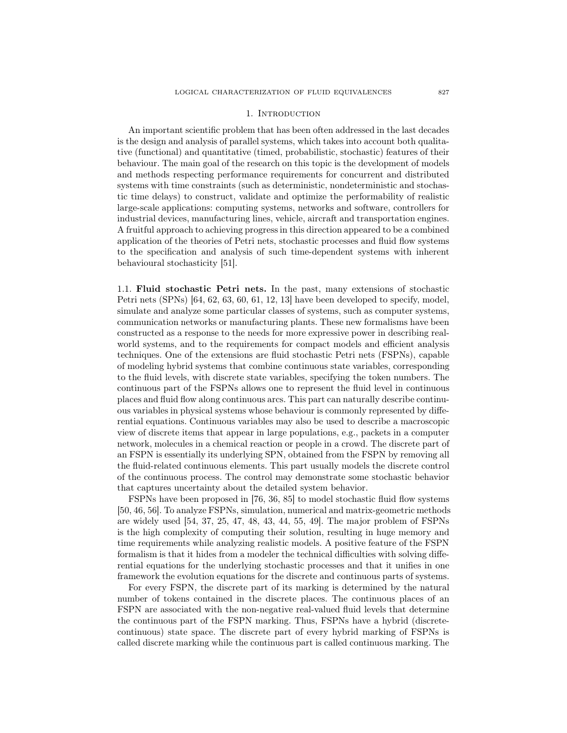### 1. INTRODUCTION

An important scientific problem that has been often addressed in the last decades is the design and analysis of parallel systems, which takes into account both qualitative (functional) and quantitative (timed, probabilistic, stochastic) features of their behaviour. The main goal of the research on this topic is the development of models and methods respecting performance requirements for concurrent and distributed systems with time constraints (such as deterministic, nondeterministic and stochastic time delays) to construct, validate and optimize the performability of realistic large-scale applications: computing systems, networks and software, controllers for industrial devices, manufacturing lines, vehicle, aircraft and transportation engines. A fruitful approach to achieving progress in this direction appeared to be a combined application of the theories of Petri nets, stochastic processes and fluid flow systems to the specification and analysis of such time-dependent systems with inherent behavioural stochasticity [51].

1.1. Fluid stochastic Petri nets. In the past, many extensions of stochastic Petri nets (SPNs) [64, 62, 63, 60, 61, 12, 13] have been developed to specify, model, simulate and analyze some particular classes of systems, such as computer systems, communication networks or manufacturing plants. These new formalisms have been constructed as a response to the needs for more expressive power in describing realworld systems, and to the requirements for compact models and efficient analysis techniques. One of the extensions are fluid stochastic Petri nets (FSPNs), capable of modeling hybrid systems that combine continuous state variables, corresponding to the fluid levels, with discrete state variables, specifying the token numbers. The continuous part of the FSPNs allows one to represent the fluid level in continuous places and fluid flow along continuous arcs. This part can naturally describe continuous variables in physical systems whose behaviour is commonly represented by differential equations. Continuous variables may also be used to describe a macroscopic view of discrete items that appear in large populations, e.g., packets in a computer network, molecules in a chemical reaction or people in a crowd. The discrete part of an FSPN is essentially its underlying SPN, obtained from the FSPN by removing all the fluid-related continuous elements. This part usually models the discrete control of the continuous process. The control may demonstrate some stochastic behavior that captures uncertainty about the detailed system behavior.

FSPNs have been proposed in [76, 36, 85] to model stochastic fluid flow systems [50, 46, 56]. To analyze FSPNs, simulation, numerical and matrix-geometric methods are widely used [54, 37, 25, 47, 48, 43, 44, 55, 49]. The major problem of FSPNs is the high complexity of computing their solution, resulting in huge memory and time requirements while analyzing realistic models. A positive feature of the FSPN formalism is that it hides from a modeler the technical difficulties with solving differential equations for the underlying stochastic processes and that it unifies in one framework the evolution equations for the discrete and continuous parts of systems.

For every FSPN, the discrete part of its marking is determined by the natural number of tokens contained in the discrete places. The continuous places of an FSPN are associated with the non-negative real-valued fluid levels that determine the continuous part of the FSPN marking. Thus, FSPNs have a hybrid (discretecontinuous) state space. The discrete part of every hybrid marking of FSPNs is called discrete marking while the continuous part is called continuous marking. The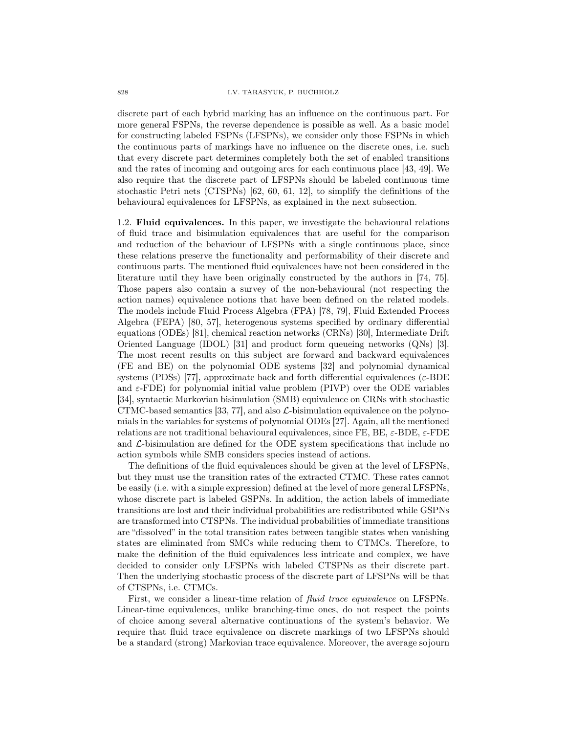discrete part of each hybrid marking has an influence on the continuous part. For more general FSPNs, the reverse dependence is possible as well. As a basic model for constructing labeled FSPNs (LFSPNs), we consider only those FSPNs in which the continuous parts of markings have no influence on the discrete ones, i.e. such that every discrete part determines completely both the set of enabled transitions and the rates of incoming and outgoing arcs for each continuous place [43, 49]. We also require that the discrete part of LFSPNs should be labeled continuous time stochastic Petri nets (CTSPNs) [62, 60, 61, 12], to simplify the definitions of the behavioural equivalences for LFSPNs, as explained in the next subsection.

1.2. Fluid equivalences. In this paper, we investigate the behavioural relations of fluid trace and bisimulation equivalences that are useful for the comparison and reduction of the behaviour of LFSPNs with a single continuous place, since these relations preserve the functionality and performability of their discrete and continuous parts. The mentioned fluid equivalences have not been considered in the literature until they have been originally constructed by the authors in [74, 75]. Those papers also contain a survey of the non-behavioural (not respecting the action names) equivalence notions that have been defined on the related models. The models include Fluid Process Algebra (FPA) [78, 79], Fluid Extended Process Algebra (FEPA) [80, 57], heterogenous systems specified by ordinary differential equations (ODEs) [81], chemical reaction networks (CRNs) [30], Intermediate Drift Oriented Language (IDOL) [31] and product form queueing networks (QNs) [3]. The most recent results on this subject are forward and backward equivalences (FE and BE) on the polynomial ODE systems [32] and polynomial dynamical systems (PDSs) [77], approximate back and forth differential equivalences ( $\varepsilon$ -BDE and  $\varepsilon$ -FDE) for polynomial initial value problem (PIVP) over the ODE variables [34], syntactic Markovian bisimulation (SMB) equivalence on CRNs with stochastic CTMC-based semantics [33, 77], and also  $\mathcal{L}$ -bisimulation equivalence on the polynomials in the variables for systems of polynomial ODEs [27]. Again, all the mentioned relations are not traditional behavioural equivalences, since FE, BE,  $\varepsilon$ -BDE,  $\varepsilon$ -FDE and  $\mathcal{L}\text{-}\text{bissimulation}$  are defined for the ODE system specifications that include no action symbols while SMB considers species instead of actions.

The definitions of the fluid equivalences should be given at the level of LFSPNs, but they must use the transition rates of the extracted CTMC. These rates cannot be easily (i.e. with a simple expression) defined at the level of more general LFSPNs, whose discrete part is labeled GSPNs. In addition, the action labels of immediate transitions are lost and their individual probabilities are redistributed while GSPNs are transformed into CTSPNs. The individual probabilities of immediate transitions are "dissolved" in the total transition rates between tangible states when vanishing states are eliminated from SMCs while reducing them to CTMCs. Therefore, to make the definition of the fluid equivalences less intricate and complex, we have decided to consider only LFSPNs with labeled CTSPNs as their discrete part. Then the underlying stochastic process of the discrete part of LFSPNs will be that of CTSPNs, i.e. CTMCs.

First, we consider a linear-time relation of *fluid trace equivalence* on LFSPNs. Linear-time equivalences, unlike branching-time ones, do not respect the points of choice among several alternative continuations of the system's behavior. We require that fluid trace equivalence on discrete markings of two LFSPNs should be a standard (strong) Markovian trace equivalence. Moreover, the average sojourn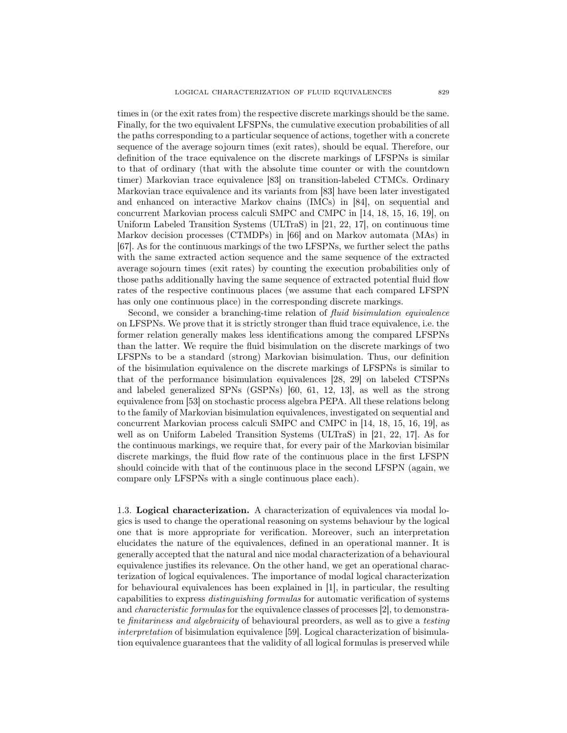times in (or the exit rates from) the respective discrete markings should be the same. Finally, for the two equivalent LFSPNs, the cumulative execution probabilities of all the paths corresponding to a particular sequence of actions, together with a concrete sequence of the average sojourn times (exit rates), should be equal. Therefore, our definition of the trace equivalence on the discrete markings of LFSPNs is similar to that of ordinary (that with the absolute time counter or with the countdown timer) Markovian trace equivalence [83] on transition-labeled CTMCs. Ordinary Markovian trace equivalence and its variants from [83] have been later investigated and enhanced on interactive Markov chains (IMCs) in [84], on sequential and concurrent Markovian process calculi SMPC and CMPC in [14, 18, 15, 16, 19], on Uniform Labeled Transition Systems (ULTraS) in [21, 22, 17], on continuous time Markov decision processes (CTMDPs) in [66] and on Markov automata (MAs) in [67]. As for the continuous markings of the two LFSPNs, we further select the paths with the same extracted action sequence and the same sequence of the extracted average sojourn times (exit rates) by counting the execution probabilities only of those paths additionally having the same sequence of extracted potential fluid flow rates of the respective continuous places (we assume that each compared LFSPN has only one continuous place) in the corresponding discrete markings.

Second, we consider a branching-time relation of fluid bisimulation equivalence on LFSPNs. We prove that it is strictly stronger than fluid trace equivalence, i.e. the former relation generally makes less identifications among the compared LFSPNs than the latter. We require the fluid bisimulation on the discrete markings of two LFSPNs to be a standard (strong) Markovian bisimulation. Thus, our definition of the bisimulation equivalence on the discrete markings of LFSPNs is similar to that of the performance bisimulation equivalences [28, 29] on labeled CTSPNs and labeled generalized SPNs (GSPNs) [60, 61, 12, 13], as well as the strong equivalence from [53] on stochastic process algebra PEPA. All these relations belong to the family of Markovian bisimulation equivalences, investigated on sequential and concurrent Markovian process calculi SMPC and CMPC in [14, 18, 15, 16, 19], as well as on Uniform Labeled Transition Systems (ULTraS) in [21, 22, 17]. As for the continuous markings, we require that, for every pair of the Markovian bisimilar discrete markings, the fluid flow rate of the continuous place in the first LFSPN should coincide with that of the continuous place in the second LFSPN (again, we compare only LFSPNs with a single continuous place each).

1.3. Logical characterization. A characterization of equivalences via modal logics is used to change the operational reasoning on systems behaviour by the logical one that is more appropriate for verification. Moreover, such an interpretation elucidates the nature of the equivalences, defined in an operational manner. It is generally accepted that the natural and nice modal characterization of a behavioural equivalence justifies its relevance. On the other hand, we get an operational characterization of logical equivalences. The importance of modal logical characterization for behavioural equivalences has been explained in [1], in particular, the resulting capabilities to express distinguishing formulas for automatic verification of systems and characteristic formulas for the equivalence classes of processes [2], to demonstrate finitariness and algebraicity of behavioural preorders, as well as to give a testing interpretation of bisimulation equivalence [59]. Logical characterization of bisimulation equivalence guarantees that the validity of all logical formulas is preserved while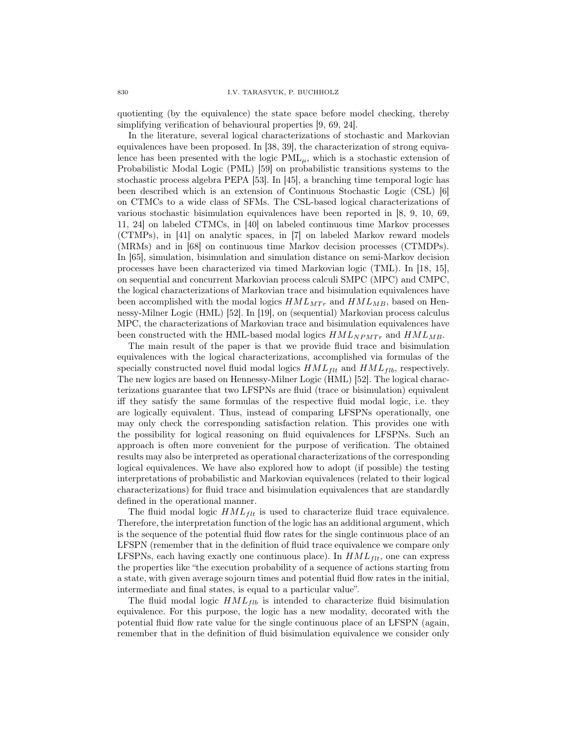quotienting (by the equivalence) the state space before model checking, thereby simplifying verification of behavioural properties [9, 69, 24].

In the literature, several logical characterizations of stochastic and Markovian equivalences have been proposed. In [38, 39], the characterization of strong equivalence has been presented with the logic  $PML_{\mu}$ , which is a stochastic extension of Probabilistic Modal Logic (PML) [59] on probabilistic transitions systems to the stochastic process algebra PEPA [53]. In [45], a branching time temporal logic has been described which is an extension of Continuous Stochastic Logic (CSL) [6] on CTMCs to a wide class of SFMs. The CSL-based logical characterizations of various stochastic bisimulation equivalences have been reported in [8, 9, 10, 69, 11, 24] on labeled CTMCs, in [40] on labeled continuous time Markov processes (CTMPs), in [41] on analytic spaces, in [7] on labeled Markov reward models (MRMs) and in [68] on continuous time Markov decision processes (CTMDPs). In [65], simulation, bisimulation and simulation distance on semi-Markov decision processes have been characterized via timed Markovian logic (TML). In [18, 15], on sequential and concurrent Markovian process calculi SMPC (MPC) and CMPC, the logical characterizations of Markovian trace and bisimulation equivalences have been accomplished with the modal logics  $HML_{MTr}$  and  $HML_{MB}$ , based on Hennessy-Milner Logic (HML) [52]. In [19], on (sequential) Markovian process calculus MPC, the characterizations of Markovian trace and bisimulation equivalences have been constructed with the HML-based modal logics  $HML_{NPMTr}$  and  $HML_{MB}$ .

The main result of the paper is that we provide fluid trace and bisimulation equivalences with the logical characterizations, accomplished via formulas of the specially constructed novel fluid modal logics  $HML_{ft}$  and  $HML_{fib}$ , respectively. The new logics are based on Hennessy-Milner Logic (HML) [52]. The logical characterizations guarantee that two LFSPNs are fluid (trace or bisimulation) equivalent iff they satisfy the same formulas of the respective fluid modal logic, i.e. they are logically equivalent. Thus, instead of comparing LFSPNs operationally, one may only check the corresponding satisfaction relation. This provides one with the possibility for logical reasoning on fluid equivalences for LFSPNs. Such an approach is often more convenient for the purpose of verification. The obtained results may also be interpreted as operational characterizations of the corresponding logical equivalences. We have also explored how to adopt (if possible) the testing interpretations of probabilistic and Markovian equivalences (related to their logical characterizations) for fluid trace and bisimulation equivalences that are standardly defined in the operational manner.

The fluid modal logic  $HML_{flt}$  is used to characterize fluid trace equivalence. Therefore, the interpretation function of the logic has an additional argument, which is the sequence of the potential fluid flow rates for the single continuous place of an LFSPN (remember that in the definition of fluid trace equivalence we compare only LFSPNs, each having exactly one continuous place). In  $HML_{\,}$  one can express the properties like "the execution probability of a sequence of actions starting from a state, with given average sojourn times and potential fluid flow rates in the initial, intermediate and final states, is equal to a particular value".

The fluid modal logic  $HML_{fib}$  is intended to characterize fluid bisimulation equivalence. For this purpose, the logic has a new modality, decorated with the potential fluid flow rate value for the single continuous place of an LFSPN (again, remember that in the definition of fluid bisimulation equivalence we consider only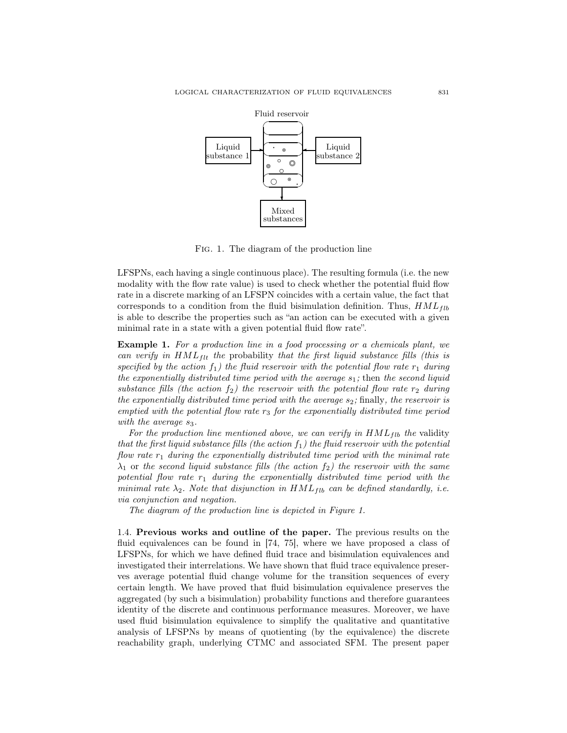

Fig. 1. The diagram of the production line

LFSPNs, each having a single continuous place). The resulting formula (i.e. the new modality with the flow rate value) is used to check whether the potential fluid flow rate in a discrete marking of an LFSPN coincides with a certain value, the fact that corresponds to a condition from the fluid bisimulation definition. Thus,  $HML_{fib}$ is able to describe the properties such as "an action can be executed with a given minimal rate in a state with a given potential fluid flow rate".

Example 1. For a production line in a food processing or a chemicals plant, we can verify in  $HML_{flt}$  the probability that the first liquid substance fills (this is specified by the action  $f_1$ ) the fluid reservoir with the potential flow rate  $r_1$  during the exponentially distributed time period with the average  $s_1$ ; then the second liquid substance fills (the action  $f_2$ ) the reservoir with the potential flow rate  $r_2$  during the exponentially distributed time period with the average  $s_2$ ; finally, the reservoir is emptied with the potential flow rate  $r_3$  for the exponentially distributed time period with the average  $s_3$ .

For the production line mentioned above, we can verify in  $HML_{fib}$  the validity that the first liquid substance fills (the action  $f_1$ ) the fluid reservoir with the potential flow rate  $r_1$  during the exponentially distributed time period with the minimal rate  $\lambda_1$  or the second liquid substance fills (the action  $f_2$ ) the reservoir with the same potential flow rate  $r_1$  during the exponentially distributed time period with the minimal rate  $\lambda_2$ . Note that disjunction in  $HML_{fib}$  can be defined standardly, i.e. via conjunction and negation.

The diagram of the production line is depicted in Figure 1.

1.4. Previous works and outline of the paper. The previous results on the fluid equivalences can be found in [74, 75], where we have proposed a class of LFSPNs, for which we have defined fluid trace and bisimulation equivalences and investigated their interrelations. We have shown that fluid trace equivalence preserves average potential fluid change volume for the transition sequences of every certain length. We have proved that fluid bisimulation equivalence preserves the aggregated (by such a bisimulation) probability functions and therefore guarantees identity of the discrete and continuous performance measures. Moreover, we have used fluid bisimulation equivalence to simplify the qualitative and quantitative analysis of LFSPNs by means of quotienting (by the equivalence) the discrete reachability graph, underlying CTMC and associated SFM. The present paper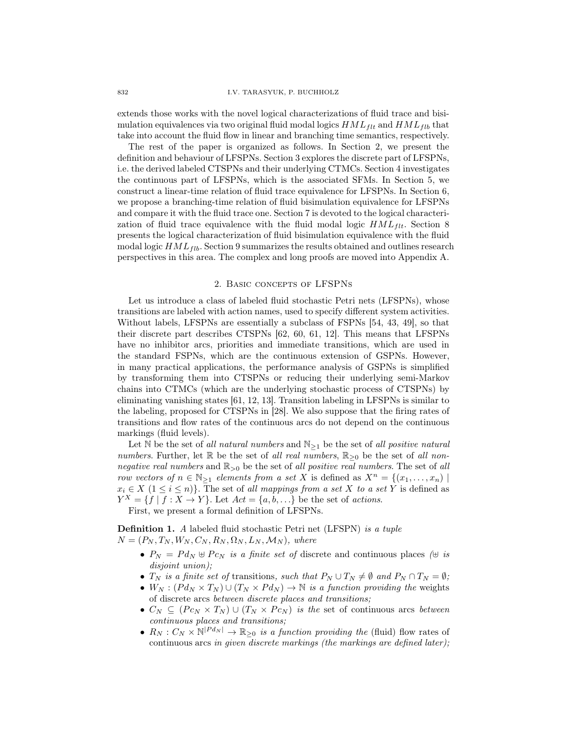extends those works with the novel logical characterizations of fluid trace and bisimulation equivalences via two original fluid modal logics  $HML_{ft}$  and  $HML_{fib}$  that take into account the fluid flow in linear and branching time semantics, respectively.

The rest of the paper is organized as follows. In Section 2, we present the definition and behaviour of LFSPNs. Section 3 explores the discrete part of LFSPNs, i.e. the derived labeled CTSPNs and their underlying CTMCs. Section 4 investigates the continuous part of LFSPNs, which is the associated SFMs. In Section 5, we construct a linear-time relation of fluid trace equivalence for LFSPNs. In Section 6, we propose a branching-time relation of fluid bisimulation equivalence for LFSPNs and compare it with the fluid trace one. Section 7 is devoted to the logical characterization of fluid trace equivalence with the fluid modal logic  $HML_{ftt}$ . Section 8 presents the logical characterization of fluid bisimulation equivalence with the fluid modal logic  $HML_{fib}$ . Section 9 summarizes the results obtained and outlines research perspectives in this area. The complex and long proofs are moved into Appendix A.

### 2. Basic concepts of LFSPNs

Let us introduce a class of labeled fluid stochastic Petri nets (LFSPNs), whose transitions are labeled with action names, used to specify different system activities. Without labels, LFSPNs are essentially a subclass of FSPNs [54, 43, 49], so that their discrete part describes CTSPNs [62, 60, 61, 12]. This means that LFSPNs have no inhibitor arcs, priorities and immediate transitions, which are used in the standard FSPNs, which are the continuous extension of GSPNs. However, in many practical applications, the performance analysis of GSPNs is simplified by transforming them into CTSPNs or reducing their underlying semi-Markov chains into CTMCs (which are the underlying stochastic process of CTSPNs) by eliminating vanishing states [61, 12, 13]. Transition labeling in LFSPNs is similar to the labeling, proposed for CTSPNs in [28]. We also suppose that the firing rates of transitions and flow rates of the continuous arcs do not depend on the continuous markings (fluid levels).

Let N be the set of all natural numbers and  $\mathbb{N}_{\geq 1}$  be the set of all positive natural numbers. Further, let R be the set of all real numbers,  $\mathbb{R}_{\geq 0}$  be the set of all nonnegative real numbers and  $\mathbb{R}_{\geq 0}$  be the set of all positive real numbers. The set of all row vectors of  $n \in \mathbb{N}_{\geq 1}$  elements from a set X is defined as  $X^n = \{(x_1, \ldots, x_n) \mid$  $x_i \in X \ (1 \leq i \leq n)$ . The set of all mappings from a set X to a set Y is defined as  $Y^X = \{f \mid f : X \to Y\}$ . Let  $Act = \{a, b, \ldots\}$  be the set of actions.

First, we present a formal definition of LFSPNs.

Definition 1. A labeled fluid stochastic Petri net (LFSPN) is a tuple  $N = (P_N, T_N, W_N, C_N, R_N, \Omega_N, L_N, \mathcal{M}_N)$ , where

- $P_N = P d_N \oplus P c_N$  is a finite set of discrete and continuous places ( $\oplus$  is disjoint union);
- $T_N$  is a finite set of transitions, such that  $P_N \cup T_N \neq \emptyset$  and  $P_N \cap T_N = \emptyset$ ;
- $W_N$ :  $(Pd_N \times T_N) \cup (T_N \times Pd_N) \rightarrow \mathbb{N}$  is a function providing the weights of discrete arcs between discrete places and transitions;
- $C_N \subseteq (P c_N \times T_N) \cup (T_N \times P c_N)$  is the set of continuous arcs between continuous places and transitions;
- $R_N: C_N \times \mathbb{N}^{|P d_N|} \to \mathbb{R}_{\geq 0}$  is a function providing the (fluid) flow rates of continuous arcs in given discrete markings (the markings are defined later);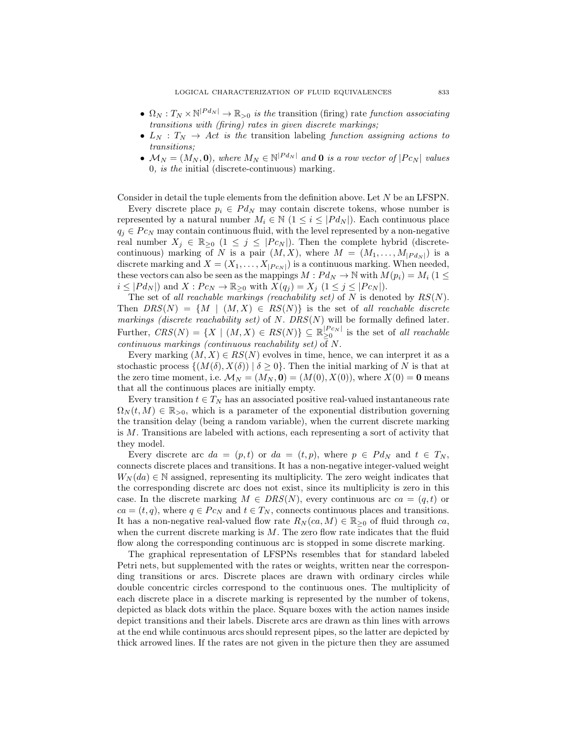- $\Omega_N: T_N \times \mathbb{N}^{|P d_N|} \to \mathbb{R}_{>0}$  is the transition (firing) rate function associating transitions with (firing) rates in given discrete markings;
- $L_N$  :  $T_N \rightarrow Act$  is the transition labeling function assigning actions to transitions;
- $\mathcal{M}_N = (M_N, \mathbf{0}),$  where  $M_N \in \mathbb{N}^{|P d_N|}$  and **0** is a row vector of  $|P c_N|$  values 0, is the initial (discrete-continuous) marking.

Consider in detail the tuple elements from the definition above. Let N be an LFSPN.

Every discrete place  $p_i \in P d_N$  may contain discrete tokens, whose number is represented by a natural number  $M_i \in \mathbb{N}$   $(1 \leq i \leq |P d_N|)$ . Each continuous place  $q_i \in P c_N$  may contain continuous fluid, with the level represented by a non-negative real number  $X_j \in \mathbb{R}_{\geq 0}$   $(1 \leq j \leq |P c_N|)$ . Then the complete hybrid (discretecontinuous) marking of N is a pair  $(M, X)$ , where  $M = (M_1, \ldots, M_{|P d_N|})$  is a discrete marking and  $X = (X_1, \ldots, X_{|P_{CN}|})$  is a continuous marking. When needed, these vectors can also be seen as the mappings  $M: P d_N \to \mathbb{N}$  with  $M(p_i) = M_i$  (1  $\leq$  $i \leq |P d_N|$  and  $X: P c_N \to \mathbb{R}_{\geq 0}$  with  $X(q_j) = X_j \ (1 \leq j \leq |P c_N|)$ .

The set of all reachable markings (reachability set) of N is denoted by  $RS(N)$ . Then  $DRS(N) = \{M \mid (M, X) \in RS(N)\}\$ is the set of all reachable discrete markings (discrete reachability set) of N.  $DRS(N)$  will be formally defined later. Further,  $CRS(N) = \{X \mid (M, X) \in RS(N)\} \subseteq \mathbb{R}_{\geq 0}^{|P_{CN}|}$  is the set of all reachable continuous markings (continuous reachability set) of N.

Every marking  $(M, X) \in RS(N)$  evolves in time, hence, we can interpret it as a stochastic process  $\{(M(\delta), X(\delta)) \mid \delta \geq 0\}$ . Then the initial marking of N is that at the zero time moment, i.e.  $\mathcal{M}_N = (M_N, \mathbf{0}) = (M(0), X(0))$ , where  $X(0) = \mathbf{0}$  means that all the continuous places are initially empty.

Every transition  $t \in T_N$  has an associated positive real-valued instantaneous rate  $\Omega_N(t,M) \in \mathbb{R}_{>0}$ , which is a parameter of the exponential distribution governing the transition delay (being a random variable), when the current discrete marking is M. Transitions are labeled with actions, each representing a sort of activity that they model.

Every discrete arc  $da = (p, t)$  or  $da = (t, p)$ , where  $p \in P d_N$  and  $t \in T_N$ , connects discrete places and transitions. It has a non-negative integer-valued weight  $W_N(da) \in \mathbb{N}$  assigned, representing its multiplicity. The zero weight indicates that the corresponding discrete arc does not exist, since its multiplicity is zero in this case. In the discrete marking  $M \in \text{DRS}(N)$ , every continuous arc  $ca = (q, t)$  or  $ca = (t, q)$ , where  $q \in P c_N$  and  $t \in T_N$ , connects continuous places and transitions. It has a non-negative real-valued flow rate  $R_N(ca, M) \in \mathbb{R}_{\geq 0}$  of fluid through ca, when the current discrete marking is  $M$ . The zero flow rate indicates that the fluid flow along the corresponding continuous arc is stopped in some discrete marking.

The graphical representation of LFSPNs resembles that for standard labeled Petri nets, but supplemented with the rates or weights, written near the corresponding transitions or arcs. Discrete places are drawn with ordinary circles while double concentric circles correspond to the continuous ones. The multiplicity of each discrete place in a discrete marking is represented by the number of tokens, depicted as black dots within the place. Square boxes with the action names inside depict transitions and their labels. Discrete arcs are drawn as thin lines with arrows at the end while continuous arcs should represent pipes, so the latter are depicted by thick arrowed lines. If the rates are not given in the picture then they are assumed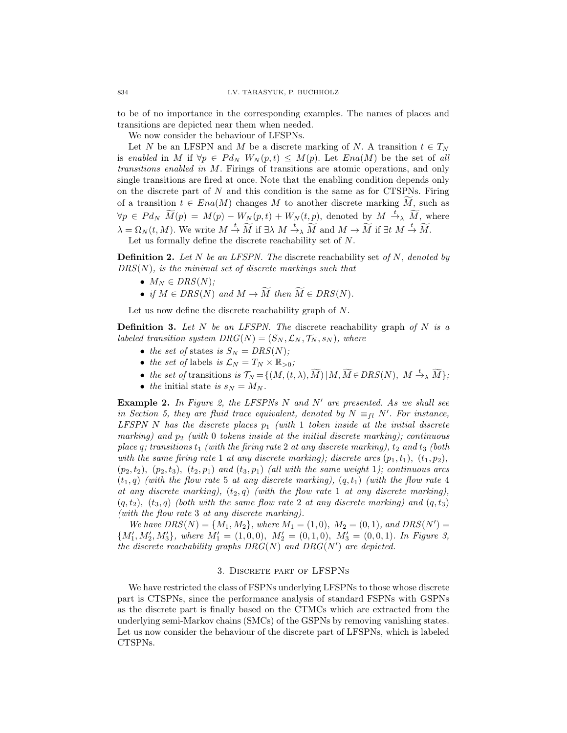to be of no importance in the corresponding examples. The names of places and transitions are depicted near them when needed.

We now consider the behaviour of LFSPNs.

Let N be an LFSPN and M be a discrete marking of N. A transition  $t \in T_N$ is enabled in M if  $\forall p \in P d_N W_N(p,t) \leq M(p)$ . Let  $Ena(M)$  be the set of all transitions enabled in M. Firings of transitions are atomic operations, and only single transitions are fired at once. Note that the enabling condition depends only on the discrete part of  $N$  and this condition is the same as for CTSPNs. Firing of a transition  $t \in Ena(M)$  changes M to another discrete marking M, such as  $\forall p \in P d_N \,\,\widetilde{M}(p) = M(p) - W_N(p,t) + W_N(t,p)$ , denoted by  $M \stackrel{t}{\rightarrow} \widetilde{M}$ , where  $\lambda = \Omega_N(t, M)$ . We write  $M \stackrel{t}{\rightarrow} \widetilde{M}$  if  $\exists \lambda \ M \stackrel{t}{\rightarrow} \widetilde{M}$  and  $M \rightarrow \widetilde{M}$  if  $\exists t \ M \stackrel{t}{\rightarrow} \widetilde{M}$ .

Let us formally define the discrete reachability set of N.

**Definition 2.** Let N be an LFSPN. The discrete reachability set of N, denoted by  $DRS(N)$ , is the minimal set of discrete markings such that

- $M_N \in DRS(N);$
- if  $M \in DRS(N)$  and  $M \to \widetilde{M}$  then  $\widetilde{M} \in DRS(N)$ .

Let us now define the discrete reachability graph of N.

**Definition 3.** Let N be an LFSPN. The discrete reachability graph of N is a labeled transition system  $DRG(N) = (S_N, \mathcal{L}_N, \mathcal{T}_N, s_N)$ , where

- the set of states is  $S_N = DRS(N);$
- the set of labels is  $\mathcal{L}_N = T_N \times \mathbb{R}_{>0}$ ;
- the set of transitions is  $\mathcal{T}_N = \{(M,(t,\lambda),\widetilde{M}) | M, \widetilde{M} \in DRS(N), M \stackrel{t}{\to} \widetilde{M}\};$
- the initial state is  $s_N = M_N$ .

**Example 2.** In Figure 2, the LFSPNs N and N' are presented. As we shall see in Section 5, they are fluid trace equivalent, denoted by  $N \equiv_{fl} N'$ . For instance, LFSPN N has the discrete places  $p_1$  (with 1 token inside at the initial discrete marking) and  $p_2$  (with 0 tokens inside at the initial discrete marking); continuous place  $q$ ; transitions  $t_1$  (with the firing rate 2 at any discrete marking),  $t_2$  and  $t_3$  (both with the same firing rate 1 at any discrete marking); discrete arcs  $(p_1, t_1)$ ,  $(t_1, p_2)$ ,  $(p_2, t_2)$ ,  $(p_2, t_3)$ ,  $(t_2, p_1)$  and  $(t_3, p_1)$  (all with the same weight 1); continuous arcs  $(t_1, q)$  (with the flow rate 5 at any discrete marking),  $(q, t_1)$  (with the flow rate 4 at any discrete marking),  $(t_2, q)$  (with the flow rate 1 at any discrete marking),  $(q, t_2)$ ,  $(t_3, q)$  (both with the same flow rate 2 at any discrete marking) and  $(q, t_3)$ (with the flow rate 3 at any discrete marking).

We have  $DRS(N) = \{M_1, M_2\}$ , where  $M_1 = (1, 0)$ ,  $M_2 = (0, 1)$ , and  $DRS(N') =$  ${M'_1, M'_2, M'_3}$ , where  $M'_1 = (1, 0, 0), M'_2 = (0, 1, 0), M'_3 = (0, 0, 1).$  In Figure 3, the discrete reachability graphs  $DRG(N)$  and  $DRG(N')$  are depicted.

#### 3. Discrete part of LFSPNs

We have restricted the class of FSPNs underlying LFSPNs to those whose discrete part is CTSPNs, since the performance analysis of standard FSPNs with GSPNs as the discrete part is finally based on the CTMCs which are extracted from the underlying semi-Markov chains (SMCs) of the GSPNs by removing vanishing states. Let us now consider the behaviour of the discrete part of LFSPNs, which is labeled CTSPNs.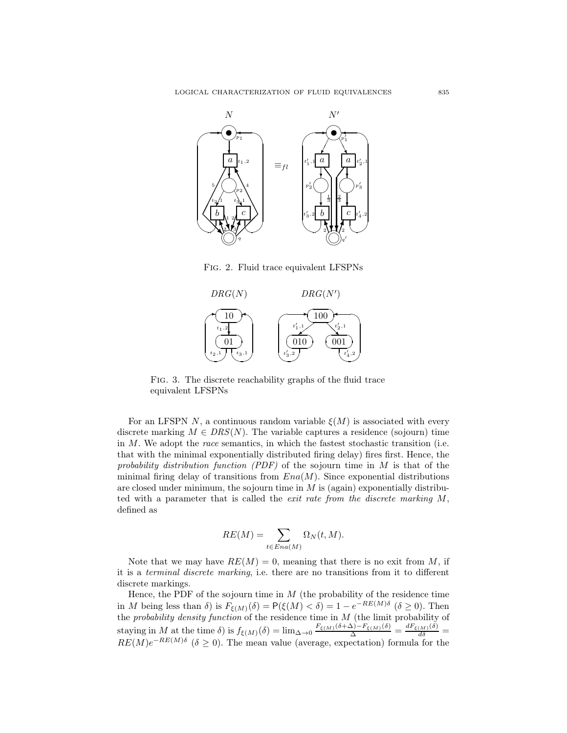

Fig. 2. Fluid trace equivalent LFSPNs



Fig. 3. The discrete reachability graphs of the fluid trace equivalent LFSPNs

For an LFSPN N, a continuous random variable  $\xi(M)$  is associated with every discrete marking  $M \in DRS(N)$ . The variable captures a residence (sojourn) time in  $M$ . We adopt the *race* semantics, in which the fastest stochastic transition (i.e. that with the minimal exponentially distributed firing delay) fires first. Hence, the probability distribution function  $(PDF)$  of the sojourn time in M is that of the minimal firing delay of transitions from  $Ena(M)$ . Since exponential distributions are closed under minimum, the sojourn time in  $M$  is (again) exponentially distributed with a parameter that is called the *exit rate from the discrete marking*  $M$ , defined as

$$
RE(M) = \sum_{t \in Ena(M)} \Omega_N(t, M).
$$

Note that we may have  $RE(M) = 0$ , meaning that there is no exit from M, if it is a terminal discrete marking, i.e. there are no transitions from it to different discrete markings.

Hence, the PDF of the sojourn time in  $M$  (the probability of the residence time in M being less than  $\delta$ ) is  $F_{\xi(M)}(\delta) = P(\xi(M) < \delta) = 1 - e^{-RE(M)\delta}$  ( $\delta \ge 0$ ). Then the *probability density function* of the residence time in M (the limit probability of staying in M at the time  $\delta$ ) is  $f_{\xi(M)}(\delta) = \lim_{\Delta \to 0} \frac{F_{\xi(M)}(\delta + \Delta) - F_{\xi(M)}(\delta)}{\Delta} = \frac{dF_{\xi(M)}(\delta)}{d\delta} =$  $RE(M)e^{-RE(M)\delta}$  ( $\delta \geq 0$ ). The mean value (average, expectation) formula for the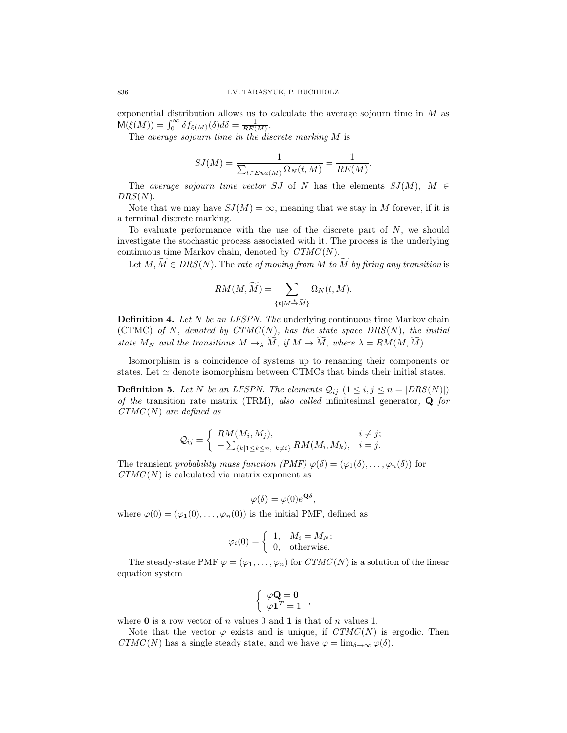exponential distribution allows us to calculate the average sojourn time in M as  $\mathsf{M}(\xi(M)) = \int_0^\infty \delta f_{\xi(M)}(\delta) d\delta = \frac{1}{RE(M)}.$ 

The average sojourn time in the discrete marking  $M$  is

$$
SJ(M) = \frac{1}{\sum_{t \in Ena(M)} \Omega_N(t, M)} = \frac{1}{RE(M)}.
$$

The average sojourn time vector SJ of N has the elements  $SJ(M)$ ,  $M \in$  $DRS(N).$ 

Note that we may have  $SJ(M) = \infty$ , meaning that we stay in M forever, if it is a terminal discrete marking.

To evaluate performance with the use of the discrete part of  $N$ , we should investigate the stochastic process associated with it. The process is the underlying continuous time Markov chain, denoted by  $CTMC(N)$ .

Let  $M, \widetilde{M} \in DRS(N)$ . The rate of moving from M to  $\widetilde{M}$  by firing any transition is

$$
RM(M, \widetilde{M}) = \sum_{\{t \mid M \stackrel{t}{\rightarrow} \widetilde{M}\}} \Omega_N(t, M).
$$

**Definition 4.** Let  $N$  be an LFSPN. The underlying continuous time Markov chain (CTMC) of N, denoted by  $CTMC(N)$ , has the state space  $DRS(N)$ , the initial state  $M_N$  and the transitions  $M \to \widetilde{M}$ , if  $M \to \widetilde{M}$ , where  $\lambda = RM(M, \widetilde{M})$ .

Isomorphism is a coincidence of systems up to renaming their components or states. Let  $\simeq$  denote isomorphism between CTMCs that binds their initial states.

**Definition 5.** Let N be an LFSPN. The elements  $Q_{ij}$   $(1 \le i, j \le n = |DRS(N)|)$ of the transition rate matrix (TRM), also called infinitesimal generator,  $\bf{Q}$  for  $CTMC(N)$  are defined as

$$
Q_{ij} = \begin{cases} RM(M_i, M_j), & i \neq j; \\ -\sum_{\{k|1\leq k \leq n, \ k \neq i\}} RM(M_i, M_k), & i = j. \end{cases}
$$

The transient probability mass function  $(PMF) \varphi(\delta) = (\varphi_1(\delta), \ldots, \varphi_n(\delta))$  for  $CTMC(N)$  is calculated via matrix exponent as

$$
\varphi(\delta) = \varphi(0)e^{\mathbf{Q}\delta},
$$

where  $\varphi(0) = (\varphi_1(0), \ldots, \varphi_n(0))$  is the initial PMF, defined as

$$
\varphi_i(0) = \begin{cases} 1, & M_i = M_N; \\ 0, & \text{otherwise.} \end{cases}
$$

The steady-state PMF  $\varphi = (\varphi_1, \ldots, \varphi_n)$  for  $CTMC(N)$  is a solution of the linear equation system

$$
\left\{ \begin{array}{c} \varphi \mathbf{Q} = \mathbf{0} \\ \varphi \mathbf{1}^T = 1 \end{array} \right.,
$$

where **0** is a row vector of n values 0 and 1 is that of n values 1.

Note that the vector  $\varphi$  exists and is unique, if  $CTMC(N)$  is ergodic. Then  $CTMC(N)$  has a single steady state, and we have  $\varphi = \lim_{\delta \to \infty} \varphi(\delta)$ .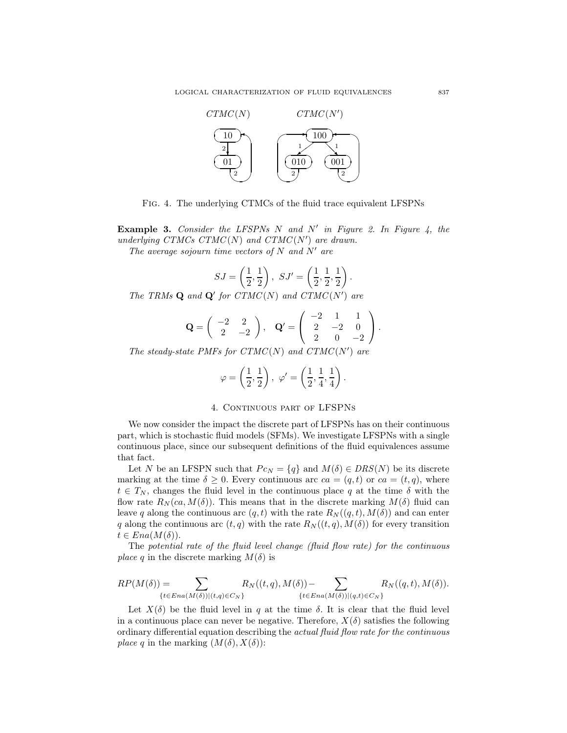

Fig. 4. The underlying CTMCs of the fluid trace equivalent LFSPNs

**Example 3.** Consider the LFSPNs  $N$  and  $N'$  in Figure 2. In Figure 4, the underlying CTMCs  $CTMC(N)$  and  $CTMC(N')$  are drawn.

The average sojourn time vectors of  $N$  and  $N'$  are

$$
SJ = \left(\frac{1}{2}, \frac{1}{2}\right), \ SJ' = \left(\frac{1}{2}, \frac{1}{2}, \frac{1}{2}\right).
$$

The TRMs  $\mathbf Q$  and  $\mathbf Q'$  for  $CTMC(N)$  and  $CTMC(N')$  are

$$
\mathbf{Q} = \begin{pmatrix} -2 & 2 \\ 2 & -2 \end{pmatrix}, \quad \mathbf{Q}' = \begin{pmatrix} -2 & 1 & 1 \\ 2 & -2 & 0 \\ 2 & 0 & -2 \end{pmatrix}.
$$

The steady-state PMFs for  $CTMC(N)$  and  $CTMC(N')$  are

$$
\varphi=\left(\frac{1}{2},\frac{1}{2}\right),\ \varphi'=\left(\frac{1}{2},\frac{1}{4},\frac{1}{4}\right).
$$

### 4. CONTINUOUS PART OF LFSPNS

We now consider the impact the discrete part of LFSPNs has on their continuous part, which is stochastic fluid models (SFMs). We investigate LFSPNs with a single continuous place, since our subsequent definitions of the fluid equivalences assume that fact.

Let N be an LFSPN such that  $P c_N = \{q\}$  and  $M(\delta) \in DRS(N)$  be its discrete marking at the time  $\delta \geq 0$ . Every continuous arc  $ca = (q, t)$  or  $ca = (t, q)$ , where  $t \in T_N$ , changes the fluid level in the continuous place q at the time  $\delta$  with the flow rate  $R_N(\alpha, M(\delta))$ . This means that in the discrete marking  $M(\delta)$  fluid can leave q along the continuous arc  $(q, t)$  with the rate  $R_N((q, t), M(\delta))$  and can enter q along the continuous arc  $(t, q)$  with the rate  $R_N((t, q), M(\delta))$  for every transition  $t \in Ena(M(\delta)).$ 

The potential rate of the fluid level change (fluid flow rate) for the continuous *place q* in the discrete marking  $M(\delta)$  is

$$
RP(M(\delta)) = \sum_{\{t \in Ena(M(\delta))|(t,q) \in C_N\}} R_N((t,q),M(\delta)) - \sum_{\{t \in Ena(M(\delta))|(q,t) \in C_N\}} R_N((q,t),M(\delta)).
$$

Let  $X(\delta)$  be the fluid level in q at the time  $\delta$ . It is clear that the fluid level in a continuous place can never be negative. Therefore,  $X(\delta)$  satisfies the following ordinary differential equation describing the actual fluid flow rate for the continuous *place q* in the marking  $(M(\delta), X(\delta))$ :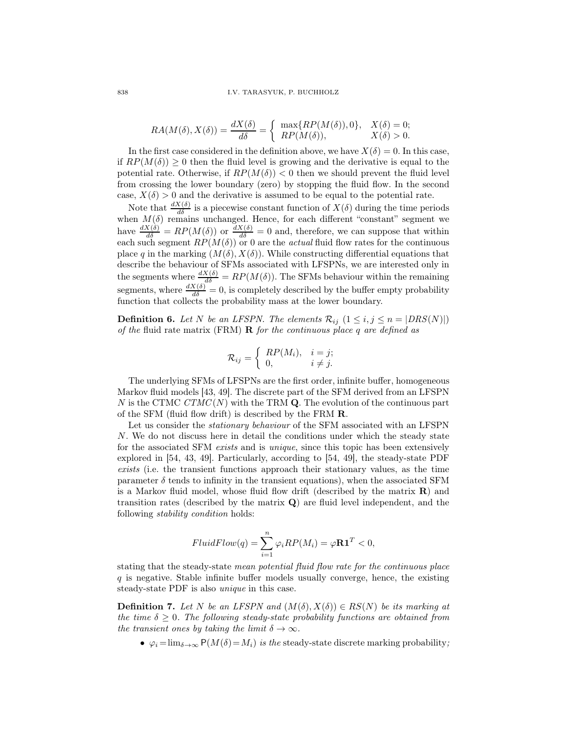#### 838 I.V. TARASYUK, P. BUCHHOLZ

$$
RA(M(\delta), X(\delta)) = \frac{dX(\delta)}{d\delta} = \begin{cases} \max\{RP(M(\delta)), 0\}, & X(\delta) = 0; \\ RP(M(\delta)), & X(\delta) > 0. \end{cases}
$$

In the first case considered in the definition above, we have  $X(\delta) = 0$ . In this case, if  $RP(M(\delta)) \geq 0$  then the fluid level is growing and the derivative is equal to the potential rate. Otherwise, if  $RP(M(\delta)) < 0$  then we should prevent the fluid level from crossing the lower boundary (zero) by stopping the fluid flow. In the second case,  $X(\delta) > 0$  and the derivative is assumed to be equal to the potential rate.

Note that  $\frac{dX(\delta)}{d\delta}$  is a piecewise constant function of  $X(\delta)$  during the time periods when  $M(\delta)$  remains unchanged. Hence, for each different "constant" segment we have  $\frac{dX(\delta)}{d\delta} = RP(M(\delta))$  or  $\frac{dX(\delta)}{d\delta} = 0$  and, therefore, we can suppose that within each such segment  $RP(M(\delta))$  or 0 are the *actual* fluid flow rates for the continuous place q in the marking  $(M(\delta), X(\delta))$ . While constructing differential equations that describe the behaviour of SFMs associated with LFSPNs, we are interested only in the segments where  $\frac{dX(\delta)}{d\delta} = RP(M(\delta))$ . The SFMs behaviour within the remaining segments, where  $\frac{dX(\delta)}{d\delta} = 0$ , is completely described by the buffer empty probability function that collects the probability mass at the lower boundary.

**Definition 6.** Let N be an LFSPN. The elements  $\mathcal{R}_{ij}$   $(1 \le i, j \le n = |DRS(N)|)$ of the fluid rate matrix (FRM)  $\bf{R}$  for the continuous place q are defined as

$$
\mathcal{R}_{ij} = \begin{cases} RP(M_i), & i = j; \\ 0, & i \neq j. \end{cases}
$$

The underlying SFMs of LFSPNs are the first order, infinite buffer, homogeneous Markov fluid models [43, 49]. The discrete part of the SFM derived from an LFSPN N is the CTMC  $CTMC(N)$  with the TRM Q. The evolution of the continuous part of the SFM (fluid flow drift) is described by the FRM R.

Let us consider the *stationary behaviour* of the SFM associated with an LFSPN N. We do not discuss here in detail the conditions under which the steady state for the associated SFM *exists* and is *unique*, since this topic has been extensively explored in [54, 43, 49]. Particularly, according to [54, 49], the steady-state PDF exists (i.e. the transient functions approach their stationary values, as the time parameter  $\delta$  tends to infinity in the transient equations), when the associated SFM is a Markov fluid model, whose fluid flow drift (described by the matrix  $\bf{R}$ ) and transition rates (described by the matrix Q) are fluid level independent, and the following stability condition holds:

$$
FluidFlow(q) = \sum_{i=1}^{n} \varphi_i RP(M_i) = \varphi \mathbf{R} \mathbf{1}^T < 0,
$$

stating that the steady-state mean potential fluid flow rate for the continuous place  $q$  is negative. Stable infinite buffer models usually converge, hence, the existing steady-state PDF is also unique in this case.

**Definition 7.** Let N be an LFSPN and  $(M(\delta), X(\delta)) \in RS(N)$  be its marking at the time  $\delta > 0$ . The following steady-state probability functions are obtained from the transient ones by taking the limit  $\delta \to \infty$ .

•  $\varphi_i = \lim_{\delta \to \infty} P(M(\delta) = M_i)$  is the steady-state discrete marking probability;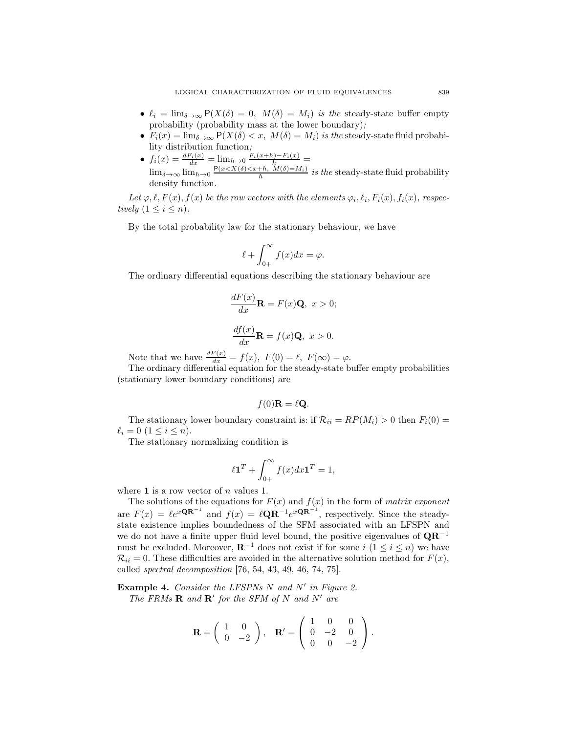- $\ell_i = \lim_{\delta \to \infty} P(X(\delta) = 0, M(\delta) = M_i)$  is the steady-state buffer empty probability (probability mass at the lower boundary);
- $F_i(x) = \lim_{\delta \to \infty} P(X(\delta) < x, M(\delta) = M_i)$  is the steady-state fluid probability distribution function;
- $f_i(x) = \frac{dF_i(x)}{dx} = \lim_{h \to 0} \frac{F_i(x+h) F_i(x)}{h} =$  $\lim_{\delta \to \infty} \lim_{h \to 0} \frac{P(x \le X(\delta) \le x+h, \widetilde{M}(\delta) = M_i)}{h}$  is the steady-state fluid probability density function.

Let  $\varphi, \ell, F(x), f(x)$  be the row vectors with the elements  $\varphi_i, \ell_i, F_i(x), f_i(x)$ , respectively  $(1 \leq i \leq n)$ .

By the total probability law for the stationary behaviour, we have

$$
\ell + \int_{0+}^{\infty} f(x)dx = \varphi.
$$

The ordinary differential equations describing the stationary behaviour are

$$
\frac{dF(x)}{dx}\mathbf{R} = F(x)\mathbf{Q}, \ x > 0;
$$
  

$$
\frac{df(x)}{dx}\mathbf{R} = f(x)\mathbf{Q}, \ x > 0.
$$

Note that we have  $\frac{dF(x)}{dx} = f(x)$ ,  $F(0) = \ell$ ,  $F(\infty) = \varphi$ .

The ordinary differential equation for the steady-state buffer empty probabilities (stationary lower boundary conditions) are

$$
f(0)\mathbf{R} = \ell \mathbf{Q}.
$$

The stationary lower boundary constraint is: if  $\mathcal{R}_{ii} = RP(M_i) > 0$  then  $F_i(0) =$  $\ell_i = 0 \ (1 \leq i \leq n).$ 

The stationary normalizing condition is

$$
\ell \mathbf{1}^T + \int_{0+}^{\infty} f(x) dx \mathbf{1}^T = 1,
$$

where 1 is a row vector of  $n$  values 1.

The solutions of the equations for  $F(x)$  and  $f(x)$  in the form of matrix exponent are  $F(x) = \ell e^{x \mathbf{Q} \mathbf{R}^{-1}}$  and  $f(x) = \ell \mathbf{Q} \mathbf{R}^{-1} e^{x \mathbf{Q} \mathbf{R}^{-1}}$ , respectively. Since the steadystate existence implies boundedness of the SFM associated with an LFSPN and we do not have a finite upper fluid level bound, the positive eigenvalues of  $\mathbf{QR}^{-1}$ must be excluded. Moreover,  $\mathbf{R}^{-1}$  does not exist if for some  $i$   $(1 \leq i \leq n)$  we have  $\mathcal{R}_{ii} = 0$ . These difficulties are avoided in the alternative solution method for  $F(x)$ , called spectral decomposition [76, 54, 43, 49, 46, 74, 75].

**Example 4.** Consider the LFSPNs  $N$  and  $N'$  in Figure 2. The FRMs  $\mathbf R$  and  $\mathbf R'$  for the SFM of N and N' are

$$
\mathbf{R} = \begin{pmatrix} 1 & 0 \\ 0 & -2 \end{pmatrix}, \quad \mathbf{R'} = \begin{pmatrix} 1 & 0 & 0 \\ 0 & -2 & 0 \\ 0 & 0 & -2 \end{pmatrix}.
$$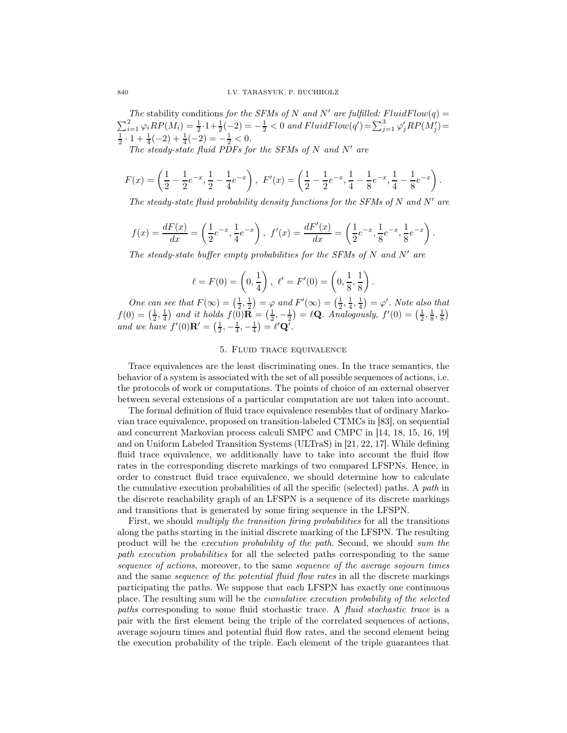The stability conditions for the SFMs of N and N' are fulfilled: FluidFlow(q) =  $\sum_{i=1}^{2} \varphi_i RP(M_i) = \frac{1}{2} \cdot 1 + \frac{1}{2}(-2) = -\frac{1}{2} < 0$  and  $FluidFlow(q') = \sum_{j=1}^{3} \varphi'_j RP(M'_j) =$  $\frac{1}{2} \cdot 1 + \frac{1}{4}(-2) + \frac{1}{4}(-2) = -\frac{1}{2} < 0.$ 

The steady-state fluid PDFs for the SFMs of N and N' are

$$
F(x) = \left(\frac{1}{2} - \frac{1}{2}e^{-x}, \frac{1}{2} - \frac{1}{4}e^{-x}\right), \ F'(x) = \left(\frac{1}{2} - \frac{1}{2}e^{-x}, \frac{1}{4} - \frac{1}{8}e^{-x}, \frac{1}{4} - \frac{1}{8}e^{-x}\right).
$$

The steady-state fluid probability density functions for the SFMs of N and N' are

$$
f(x) = \frac{dF(x)}{dx} = \left(\frac{1}{2}e^{-x}, \frac{1}{4}e^{-x}\right), \ f'(x) = \frac{dF'(x)}{dx} = \left(\frac{1}{2}e^{-x}, \frac{1}{8}e^{-x}, \frac{1}{8}e^{-x}\right).
$$

The steady-state buffer empty probabilities for the SFMs of  $N$  and  $N'$  are

$$
\ell = F(0) = \left(0, \frac{1}{4}\right), \ \ell' = F'(0) = \left(0, \frac{1}{8}, \frac{1}{8}\right).
$$

One can see that  $F(\infty) = \left(\frac{1}{2}, \frac{1}{2}\right) = \varphi$  and  $F'(\infty) = \left(\frac{1}{2}, \frac{1}{4}, \frac{1}{4}\right) = \varphi'$ . Note also that  $f(0) = \left(\frac{1}{2}, \frac{1}{4}\right)$  and it holds  $f(0)\mathbf{R} = \left(\frac{1}{2}, -\frac{1}{2}\right) = \ell \mathbf{Q}$ . Analogously,  $f'(0) = \left(\frac{1}{2}, \frac{1}{8}, \frac{1}{8}\right)$ and we have  $f'(0)$ **R**' =  $(\frac{1}{2}, -\frac{1}{4}, -\frac{1}{4}) = \ell'$ **Q**'.

## 5. Fluid trace equivalence

Trace equivalences are the least discriminating ones. In the trace semantics, the behavior of a system is associated with the set of all possible sequences of actions, i.e. the protocols of work or computations. The points of choice of an external observer between several extensions of a particular computation are not taken into account.

The formal definition of fluid trace equivalence resembles that of ordinary Markovian trace equivalence, proposed on transition-labeled CTMCs in [83], on sequential and concurrent Markovian process calculi SMPC and CMPC in [14, 18, 15, 16, 19] and on Uniform Labeled Transition Systems (ULTraS) in [21, 22, 17]. While defining fluid trace equivalence, we additionally have to take into account the fluid flow rates in the corresponding discrete markings of two compared LFSPNs. Hence, in order to construct fluid trace equivalence, we should determine how to calculate the cumulative execution probabilities of all the specific (selected) paths. A path in the discrete reachability graph of an LFSPN is a sequence of its discrete markings and transitions that is generated by some firing sequence in the LFSPN.

First, we should *multiply the transition firing probabilities* for all the transitions along the paths starting in the initial discrete marking of the LFSPN. The resulting product will be the execution probability of the path. Second, we should sum the path execution probabilities for all the selected paths corresponding to the same sequence of actions, moreover, to the same sequence of the average sojourn times and the same *sequence of the potential fluid flow rates* in all the discrete markings participating the paths. We suppose that each LFSPN has exactly one continuous place. The resulting sum will be the cumulative execution probability of the selected paths corresponding to some fluid stochastic trace. A fluid stochastic trace is a pair with the first element being the triple of the correlated sequences of actions, average sojourn times and potential fluid flow rates, and the second element being the execution probability of the triple. Each element of the triple guarantees that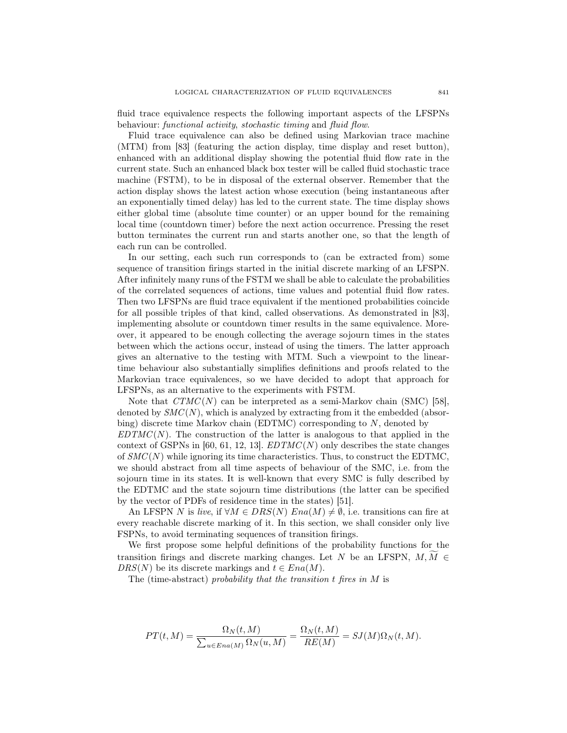fluid trace equivalence respects the following important aspects of the LFSPNs behaviour: functional activity, stochastic timing and fluid flow.

Fluid trace equivalence can also be defined using Markovian trace machine (MTM) from [83] (featuring the action display, time display and reset button), enhanced with an additional display showing the potential fluid flow rate in the current state. Such an enhanced black box tester will be called fluid stochastic trace machine (FSTM), to be in disposal of the external observer. Remember that the action display shows the latest action whose execution (being instantaneous after an exponentially timed delay) has led to the current state. The time display shows either global time (absolute time counter) or an upper bound for the remaining local time (countdown timer) before the next action occurrence. Pressing the reset button terminates the current run and starts another one, so that the length of each run can be controlled.

In our setting, each such run corresponds to (can be extracted from) some sequence of transition firings started in the initial discrete marking of an LFSPN. After infinitely many runs of the FSTM we shall be able to calculate the probabilities of the correlated sequences of actions, time values and potential fluid flow rates. Then two LFSPNs are fluid trace equivalent if the mentioned probabilities coincide for all possible triples of that kind, called observations. As demonstrated in [83], implementing absolute or countdown timer results in the same equivalence. Moreover, it appeared to be enough collecting the average sojourn times in the states between which the actions occur, instead of using the timers. The latter approach gives an alternative to the testing with MTM. Such a viewpoint to the lineartime behaviour also substantially simplifies definitions and proofs related to the Markovian trace equivalences, so we have decided to adopt that approach for LFSPNs, as an alternative to the experiments with FSTM.

Note that  $CTMC(N)$  can be interpreted as a semi-Markov chain (SMC) [58], denoted by  $SMC(N)$ , which is analyzed by extracting from it the embedded (absorbing) discrete time Markov chain (EDTMC) corresponding to N, denoted by  $EDTMC(N)$ . The construction of the latter is analogous to that applied in the context of GSPNs in [60, 61, 12, 13].  $EDTMC(N)$  only describes the state changes of  $SMC(N)$  while ignoring its time characteristics. Thus, to construct the EDTMC, we should abstract from all time aspects of behaviour of the SMC, i.e. from the sojourn time in its states. It is well-known that every SMC is fully described by the EDTMC and the state sojourn time distributions (the latter can be specified by the vector of PDFs of residence time in the states) [51].

An LFSPN N is live, if  $\forall M \in DRS(N)$   $Ena(M) \neq \emptyset$ , i.e. transitions can fire at every reachable discrete marking of it. In this section, we shall consider only live FSPNs, to avoid terminating sequences of transition firings.

We first propose some helpful definitions of the probability functions for the transition firings and discrete marking changes. Let N be an LFSPN,  $M, M \in$  $DRS(N)$  be its discrete markings and  $t \in Ena(M)$ .

The (time-abstract) probability that the transition  $t$  fires in  $M$  is

$$
PT(t, M) = \frac{\Omega_N(t, M)}{\sum_{u \in Ena(M)} \Omega_N(u, M)} = \frac{\Omega_N(t, M)}{RE(M)} = SJ(M)\Omega_N(t, M).
$$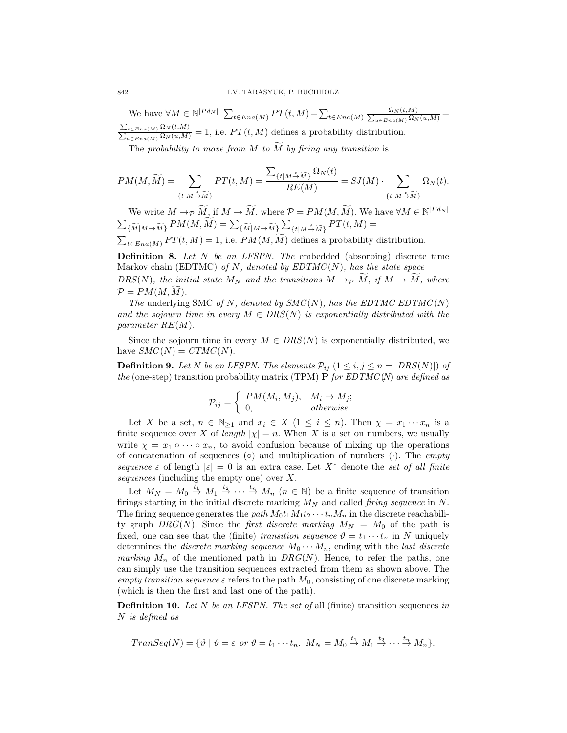We have  $\forall M \in \mathbb{N}^{|P d_N|}$   $\sum_{t \in E n a(M)} PT(t, M) = \sum_{t \in E n a(M)} \frac{\Omega_N(t, M)}{\sum_{u \in E n a(M)} \Omega_N(u, M)}$  $\frac{\sum_{t \in En(a(M))} \Omega_N(t,M)}{\sum_{u \in En(a(M))} \Omega_N(u,M)} = 1$ , i.e.  $PT(t,M)$  defines a probability distribution.

The probability to move from M to  $\widetilde{M}$  by firing any transition is

$$
PM(M, \widetilde{M}) = \sum_{\{t \mid M \stackrel{t}{\rightarrow} \widetilde{M}\}} PT(t, M) = \frac{\sum_{\{t \mid M \stackrel{t}{\rightarrow} \widetilde{M}\}} \Omega_N(t)}{RE(M)} = SJ(M) \cdot \sum_{\{t \mid M \stackrel{t}{\rightarrow} \widetilde{M}\}} \Omega_N(t).
$$

We write  $M \to \widetilde{M}$ , if  $M \to \widetilde{M}$ , where  $\mathcal{P} = PM(M, \widetilde{M})$ . We have  $\forall M \in \mathbb{N}^{|P d_N|}$  $\sum_{\{\widetilde{M}|M\rightarrow\widetilde{M}\}}PM(M,\widetilde{M})=\sum_{\{\widetilde{M}|M\rightarrow\widetilde{M}\}}\sum_{\{t|M\stackrel{t}{\rightarrow}\widetilde{M}\}}PT(t,M)=$  $\sum_{t \in Ena(M)} PT(t, M) = 1$ , i.e.  $PM(M, \widetilde{M})$  defines a probability distribution.

**Definition 8.** Let N be an LFSPN. The embedded (absorbing) discrete time Markov chain (EDTMC) of N, denoted by  $EDTMC(N)$ , has the state space DRS(N), the initial state  $M_N$  and the transitions  $M \to \tilde{M}$ , if  $M \to \tilde{M}$ , where  $\mathcal{P} = PM(M, \tilde{M}).$ 

The underlying SMC of N, denoted by  $SMC(N)$ , has the EDTMC EDTMC(N) and the sojourn time in every  $M \in \text{DRS}(N)$  is exponentially distributed with the parameter RE(M).

Since the sojourn time in every  $M \in DRS(N)$  is exponentially distributed, we have  $SMC(N) = CTMC(N)$ .

**Definition 9.** Let N be an LFSPN. The elements  $\mathcal{P}_{ij}$   $(1 \le i, j \le n = |DRS(N)|)$  of the (one-step) transition probability matrix (TPM) **P** for EDTMC(N) are defined as

$$
\mathcal{P}_{ij} = \begin{cases} PM(M_i, M_j), & M_i \to M_j; \\ 0, & otherwise. \end{cases}
$$

Let X be a set,  $n \in \mathbb{N}_{\geq 1}$  and  $x_i \in X$   $(1 \leq i \leq n)$ . Then  $\chi = x_1 \cdots x_n$  is a finite sequence over X of length  $|\chi| = n$ . When X is a set on numbers, we usually write  $\chi = x_1 \circ \cdots \circ x_n$ , to avoid confusion because of mixing up the operations of concatenation of sequences (◦) and multiplication of numbers (⋅). The empty sequence  $\varepsilon$  of length  $|\varepsilon|=0$  is an extra case. Let  $X^*$  denote the set of all finite sequences (including the empty one) over X.

Let  $M_N = M_0 \stackrel{t_1}{\rightarrow} M_1 \stackrel{t_2}{\rightarrow} \cdots \stackrel{t_n}{\rightarrow} M_n$   $(n \in \mathbb{N})$  be a finite sequence of transition firings starting in the initial discrete marking  $M_N$  and called *firing sequence* in N. The firing sequence generates the path  $M_0t_1M_1t_2\cdots t_nM_n$  in the discrete reachability graph DRG(N). Since the first discrete marking  $M_N = M_0$  of the path is fixed, one can see that the (finite) transition sequence  $\vartheta = t_1 \cdots t_n$  in N uniquely determines the *discrete marking sequence*  $M_0 \cdots M_n$ , ending with the *last discrete* marking  $M_n$  of the mentioned path in  $DRG(N)$ . Hence, to refer the paths, one can simply use the transition sequences extracted from them as shown above. The empty transition sequence  $\varepsilon$  refers to the path  $M_0$ , consisting of one discrete marking (which is then the first and last one of the path).

**Definition 10.** Let N be an LFSPN. The set of all (finite) transition sequences in N is defined as

$$
TransSeq(N) = \{ \vartheta \mid \vartheta = \varepsilon \text{ or } \vartheta = t_1 \cdots t_n, M_N = M_0 \stackrel{t_1}{\rightarrow} M_1 \stackrel{t_2}{\rightarrow} \cdots \stackrel{t_n}{\rightarrow} M_n \}.
$$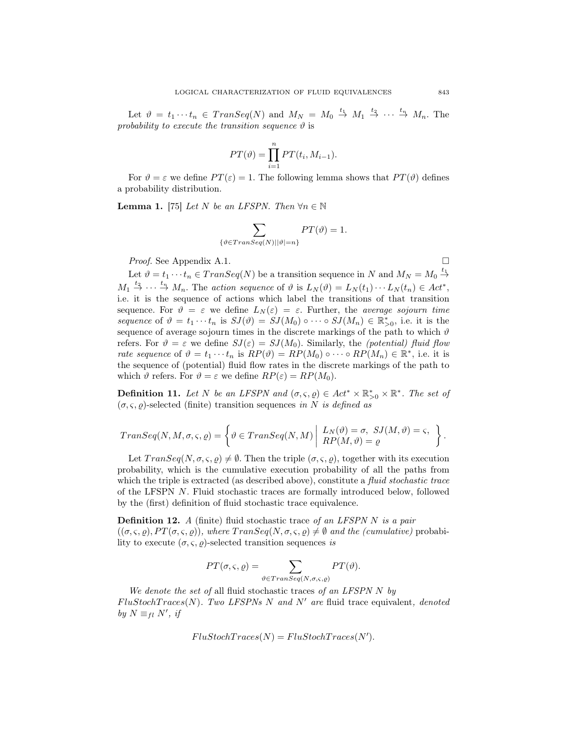Let  $\vartheta = t_1 \cdots t_n \in Transeq(N)$  and  $M_N = M_0 \stackrel{t_1}{\rightarrow} M_1 \stackrel{t_2}{\rightarrow} \cdots \stackrel{t_n}{\rightarrow} M_n$ . The probability to execute the transition sequence  $\vartheta$  is

$$
PT(\vartheta) = \prod_{i=1}^{n} PT(t_i, M_{i-1}).
$$

For  $\vartheta = \varepsilon$  we define  $PT(\varepsilon) = 1$ . The following lemma shows that  $PT(\vartheta)$  defines a probability distribution.

**Lemma 1.** [75] Let N be an LFSPN. Then  $\forall n \in \mathbb{N}$ 

$$
\sum_{\{\vartheta \in Transeq(N)||\vartheta|=n\}} PT(\vartheta) = 1.
$$

*Proof.* See Appendix A.1.

Let  $\vartheta = t_1 \cdots t_n \in Transeq(N)$  be a transition sequence in N and  $M_N = M_0 \stackrel{t_1}{\rightarrow}$  $M_1 \stackrel{t_2}{\rightarrow} \cdots \stackrel{t_n}{\rightarrow} M_n$ . The action sequence of  $\vartheta$  is  $L_N(\vartheta) = L_N(t_1) \cdots L_N(t_n) \in Act^*$ , i.e. it is the sequence of actions which label the transitions of that transition sequence. For  $\vartheta = \varepsilon$  we define  $L_N(\varepsilon) = \varepsilon$ . Further, the *average sojourn time* sequence of  $\vartheta = t_1 \cdots t_n$  is  $SJ(\vartheta) = SJ(M_0) \circ \cdots \circ SJ(M_n) \in \mathbb{R}_{>0}^*$ , i.e. it is the sequence of average sojourn times in the discrete markings of the path to which  $\vartheta$ refers. For  $\vartheta = \varepsilon$  we define  $SJ(\varepsilon) = SJ(M_0)$ . Similarly, the *(potential) fluid flow* rate sequence of  $\vartheta = t_1 \cdots t_n$  is  $RP(\vartheta) = RP(M_0) \circ \cdots \circ RP(M_n) \in \mathbb{R}^*$ , i.e. it is the sequence of (potential) fluid flow rates in the discrete markings of the path to which  $\vartheta$  refers. For  $\vartheta = \varepsilon$  we define  $RP(\varepsilon) = RP(M_0)$ .

**Definition 11.** Let N be an LFSPN and  $(\sigma, \varsigma, \varrho) \in Act^* \times \mathbb{R}_{>0}^* \times \mathbb{R}^*$ . The set of  $(\sigma, \varsigma, \rho)$ -selected (finite) transition sequences in N is defined as

$$
Transeq(N,M,\sigma,\varsigma,\varrho)=\left\{\vartheta\in Transeq(N,M)\left|\begin{array}{l}L_N(\vartheta)=\sigma,\:SJ(M,\vartheta)=\varsigma,\\RP(M,\vartheta)=\varrho\end{array}\right.\right\}.
$$

Let  $TransSeq(N, \sigma, \varsigma, \varrho) \neq \emptyset$ . Then the triple  $(\sigma, \varsigma, \varrho)$ , together with its execution probability, which is the cumulative execution probability of all the paths from which the triple is extracted (as described above), constitute a fluid stochastic trace of the LFSPN N. Fluid stochastic traces are formally introduced below, followed by the (first) definition of fluid stochastic trace equivalence.

**Definition 12.** A (finite) fluid stochastic trace of an LFSPN N is a pair  $((\sigma, \varsigma, \varrho), PT(\sigma, \varsigma, \varrho))$ , where  $TransSeq(N, \sigma, \varsigma, \varrho) \neq \emptyset$  and the (cumulative) probability to execute  $(\sigma, \varsigma, \varrho)$ -selected transition sequences is

$$
PT(\sigma, \varsigma, \varrho) = \sum_{\vartheta \in TranSeq(N, \sigma, \varsigma, \varrho)} PT(\vartheta).
$$

We denote the set of all fluid stochastic traces of an LFSPN  $N$  by  $FlustochTrace(N)$ . Two LFSPNs N and N' are fluid trace equivalent, denoted by  $N \equiv_{fl} N'$ , if

$$
Flus to chTraces(N) = Flux to chTraces(N').
$$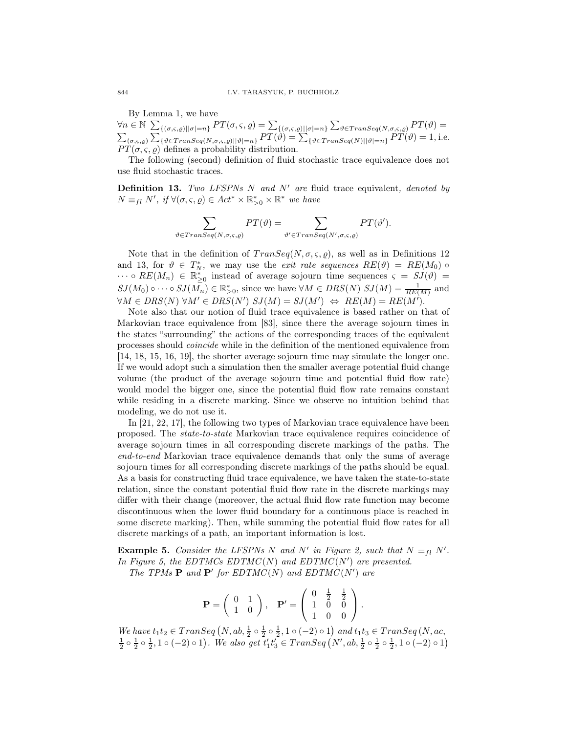By Lemma 1, we have  $\forall n \in \mathbb{N} \sum_{\{(\sigma,\varsigma,\varrho) \mid |\sigma|=n\}} PT(\sigma,\varsigma,\varrho) = \sum_{\{(\sigma,\varsigma,\varrho) \mid |\sigma|=n\}} \sum_{\vartheta \in Transeq(N,\sigma,\varsigma,\varrho)} PT(\vartheta) =$  $\sum_{(\sigma,\varsigma,\varrho)}\sum_{\{\vartheta\in Transeq(N,\sigma,\varsigma,\varrho)||\vartheta|=n\}}PT(\vartheta)=\sum_{\{\vartheta\in Transeq(N)||\vartheta|=n\}}PT(\vartheta)=1,$  i.e.  $PT(\sigma, \varsigma, \varrho)$  defines a probability distribution.

The following (second) definition of fluid stochastic trace equivalence does not use fluid stochastic traces.

**Definition 13.** Two LFSPNs N and N' are fluid trace equivalent, denoted by  $N \equiv_{fl} N'$ , if  $\forall (\sigma, \varsigma, \varrho) \in Act^* \times \mathbb{R}_{>0}^* \times \mathbb{R}^*$  we have

$$
\sum_{\vartheta \in Transeq(N,\sigma,\varsigma,\varrho)} PT(\vartheta) = \sum_{\vartheta' \in Transeq(N',\sigma,\varsigma,\varrho)} PT(\vartheta').
$$

Note that in the definition of  $Transeq(N, \sigma, \varsigma, \rho)$ , as well as in Definitions 12 and 13, for  $\vartheta \in T_N^*$ , we may use the *exit rate sequences*  $RE(\vartheta) = RE(M_0) \circ$  $\cdots \circ RE(M_n) \in \mathbb{R}_{\geq 0}^*$  instead of average sojourn time sequences  $\varsigma = SJ(\vartheta) =$  $SJ(M_0)\circ\cdots\circ SJ(M_n)\in\mathbb{R}_{>0}^*$ , since we have  $\forall M\in DRS(N)$   $SJ(M)=\frac{1}{RE(M)}$  and  $\forall M \in DRS(N) \ \forall M' \in DRS(N') \ SU(M) = SU(M') \ \Leftrightarrow \ RE(M) = RE(M').$ 

Note also that our notion of fluid trace equivalence is based rather on that of Markovian trace equivalence from [83], since there the average sojourn times in the states "surrounding" the actions of the corresponding traces of the equivalent processes should coincide while in the definition of the mentioned equivalence from [14, 18, 15, 16, 19], the shorter average sojourn time may simulate the longer one. If we would adopt such a simulation then the smaller average potential fluid change volume (the product of the average sojourn time and potential fluid flow rate) would model the bigger one, since the potential fluid flow rate remains constant while residing in a discrete marking. Since we observe no intuition behind that modeling, we do not use it.

In [21, 22, 17], the following two types of Markovian trace equivalence have been proposed. The state-to-state Markovian trace equivalence requires coincidence of average sojourn times in all corresponding discrete markings of the paths. The end-to-end Markovian trace equivalence demands that only the sums of average sojourn times for all corresponding discrete markings of the paths should be equal. As a basis for constructing fluid trace equivalence, we have taken the state-to-state relation, since the constant potential fluid flow rate in the discrete markings may differ with their change (moreover, the actual fluid flow rate function may become discontinuous when the lower fluid boundary for a continuous place is reached in some discrete marking). Then, while summing the potential fluid flow rates for all discrete markings of a path, an important information is lost.

**Example 5.** Consider the LFSPNs N and N' in Figure 2, such that  $N \equiv_{fl} N'$ . In Figure 5, the EDTMCs EDTMC(N) and EDTMC(N') are presented. The TPMs  $P$  and  $P'$  for  $EDTMC(N)$  and  $EDTMC(N')$  are

$$
\mathbf{P} = \left( \begin{array}{cc} 0 & 1 \\ 1 & 0 \end{array} \right), \quad \mathbf{P'} = \left( \begin{array}{ccc} 0 & \frac{1}{2} & \frac{1}{2} \\ 1 & 0 & 0 \\ 1 & 0 & 0 \end{array} \right).
$$

We have  $t_1t_2 \in Transeq(N, ab, \frac{1}{2} \circ \frac{1}{2} \circ \frac{1}{2}, 1 \circ (-2) \circ 1)$  and  $t_1t_3 \in Transeq(N, ac, \frac{1}{2} \circ \frac{1}{2} \circ \frac{1}{2}, 1 \circ (-2) \circ 1)$ . We also get  $t'_1t'_3 \in Transeq(N', ab, \frac{1}{2} \circ \frac{1}{2} \circ \frac{1}{2}, 1 \circ (-2) \circ 1)$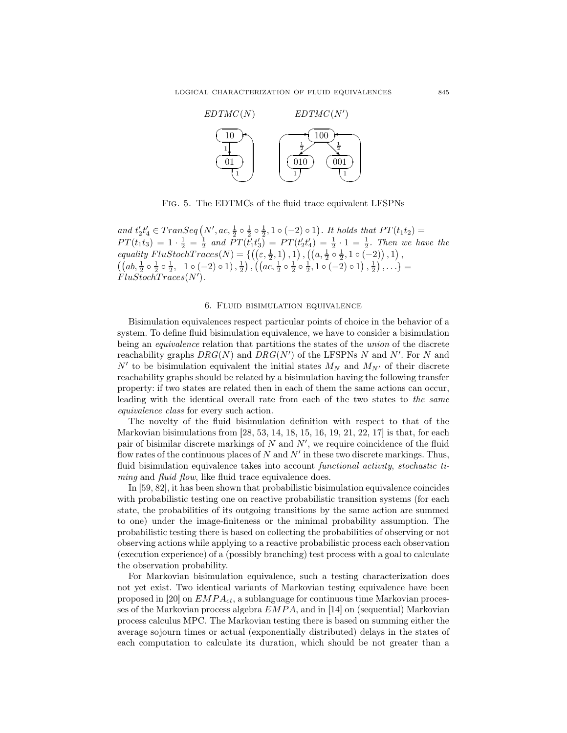

Fig. 5. The EDTMCs of the fluid trace equivalent LFSPNs

and  $t_2't_4' \in Transeq(N',ac,\frac{1}{2} \circ \frac{1}{2} \circ \frac{1}{2},1 \circ (-2) \circ 1)$ . It holds that  $PT(t_1t_2)$  =  $PT(t_1t_3) = 1 \cdot \frac{1}{2} = \frac{1}{2}$  and  $PT(t'_1t'_3) = PT(t'_2t'_4) = \frac{1}{2} \cdot 1 = \frac{1}{2}$ . Then we have the equality  $FlustochTraces(N) = \{ ((\varepsilon, \frac{1}{2}, 1), 1), ((a, \frac{1}{2} \circ \frac{1}{2}, 1 \circ (-2)), 1),$  $((ab, \frac{1}{2} \circ \frac{1}{2} \circ \frac{1}{2}, 1 \circ (-2) \circ 1), \frac{1}{2}), ((ac, \frac{1}{2} \circ \frac{1}{2} \circ \frac{1}{2}, 1 \circ (-2) \circ 1), \frac{1}{2}), \ldots) =$  $FluStochTrace(N').$ 

## 6. Fluid bisimulation equivalence

Bisimulation equivalences respect particular points of choice in the behavior of a system. To define fluid bisimulation equivalence, we have to consider a bisimulation being an *equivalence* relation that partitions the states of the *union* of the discrete reachability graphs  $DRG(N)$  and  $DRG(N')$  of the LFSPNs N and N'. For N and  $N'$  to be bisimulation equivalent the initial states  $M_N$  and  $M_{N'}$  of their discrete reachability graphs should be related by a bisimulation having the following transfer property: if two states are related then in each of them the same actions can occur, leading with the identical overall rate from each of the two states to the same equivalence class for every such action.

The novelty of the fluid bisimulation definition with respect to that of the Markovian bisimulations from [28, 53, 14, 18, 15, 16, 19, 21, 22, 17] is that, for each pair of bisimilar discrete markings of  $N$  and  $N'$ , we require coincidence of the fluid flow rates of the continuous places of  $N$  and  $N'$  in these two discrete markings. Thus, fluid bisimulation equivalence takes into account *functional activity, stochastic ti*ming and fluid flow, like fluid trace equivalence does.

In [59, 82], it has been shown that probabilistic bisimulation equivalence coincides with probabilistic testing one on reactive probabilistic transition systems (for each state, the probabilities of its outgoing transitions by the same action are summed to one) under the image-finiteness or the minimal probability assumption. The probabilistic testing there is based on collecting the probabilities of observing or not observing actions while applying to a reactive probabilistic process each observation (execution experience) of a (possibly branching) test process with a goal to calculate the observation probability.

For Markovian bisimulation equivalence, such a testing characterization does not yet exist. Two identical variants of Markovian testing equivalence have been proposed in [20] on  $EMPA_{ct}$ , a sublanguage for continuous time Markovian processes of the Markovian process algebra  $EMPA$ , and in [14] on (sequential) Markovian process calculus MPC. The Markovian testing there is based on summing either the average sojourn times or actual (exponentially distributed) delays in the states of each computation to calculate its duration, which should be not greater than a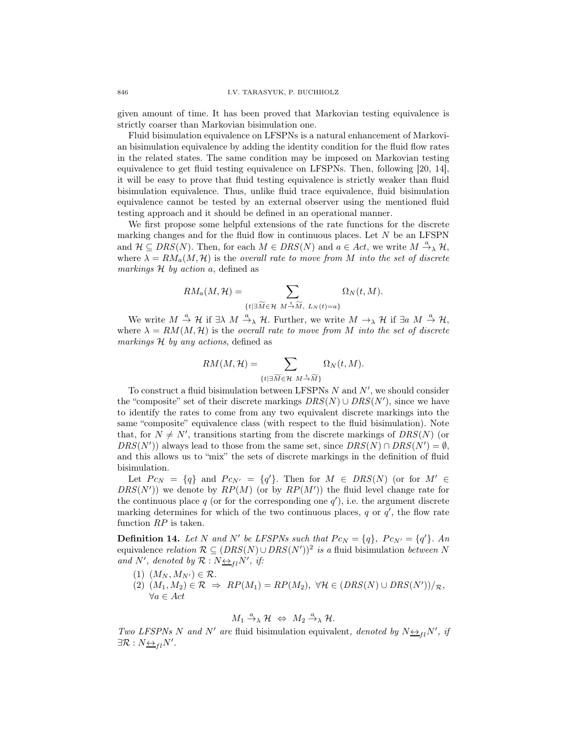given amount of time. It has been proved that Markovian testing equivalence is strictly coarser than Markovian bisimulation one.

Fluid bisimulation equivalence on LFSPNs is a natural enhancement of Markovian bisimulation equivalence by adding the identity condition for the fluid flow rates in the related states. The same condition may be imposed on Markovian testing equivalence to get fluid testing equivalence on LFSPNs. Then, following [20, 14], it will be easy to prove that fluid testing equivalence is strictly weaker than fluid bisimulation equivalence. Thus, unlike fluid trace equivalence, fluid bisimulation equivalence cannot be tested by an external observer using the mentioned fluid testing approach and it should be defined in an operational manner.

We first propose some helpful extensions of the rate functions for the discrete marking changes and for the fluid flow in continuous places. Let  $N$  be an LFSPN and  $\mathcal{H} \subseteq \text{DRS}(N)$ . Then, for each  $M \in \text{DRS}(N)$  and  $a \in \text{Act}$ , we write  $M \stackrel{a}{\rightarrow}_{\lambda} \mathcal{H}$ , where  $\lambda = RM_a(M, \mathcal{H})$  is the *overall rate to move from* M into the set of discrete markings  $H$  by action a, defined as

$$
RM_a(M, \mathcal{H}) = \sum_{\{t \mid \exists \widetilde{M} \in \mathcal{H} \ M \stackrel{t}{\rightarrow} \widetilde{M}, \ L_N(t) = a\}} \Omega_N(t, M).
$$

We write  $M \stackrel{a}{\rightarrow} \mathcal{H}$  if  $\exists \lambda \ M \stackrel{a}{\rightarrow} \lambda \mathcal{H}$ . Further, we write  $M \rightarrow_{\lambda} \mathcal{H}$  if  $\exists a \ M \stackrel{a}{\rightarrow} \mathcal{H}$ , where  $\lambda = RM(M, \mathcal{H})$  is the overall rate to move from M into the set of discrete markings H by any actions, defined as

$$
RM(M,\mathcal{H})=\sum_{\{t|\exists\widetilde{M}\in\mathcal{H}}\ M\stackrel{t}{\rightarrow}\widetilde{M}\}}\Omega_N(t,M).
$$

To construct a fluid bisimulation between LFSPNs  $N$  and  $N'$ , we should consider the "composite" set of their discrete markings  $DRS(N) \cup DRS(N')$ , since we have to identify the rates to come from any two equivalent discrete markings into the same "composite" equivalence class (with respect to the fluid bisimulation). Note that, for  $N \neq N'$ , transitions starting from the discrete markings of  $DRS(N)$  (or DRS(N')) always lead to those from the same set, since  $DRS(N) \cap DRS(N') = \emptyset$ , and this allows us to "mix" the sets of discrete markings in the definition of fluid bisimulation.

Let  $P c_N = \{q\}$  and  $P c_{N'} = \{q'\}$ . Then for  $M \in DIS(N)$  (or for  $M' \in$  $DRS(N')$ ) we denote by  $RP(M)$  (or by  $RP(M')$ ) the fluid level change rate for the continuous place  $q$  (or for the corresponding one  $q'$ ), i.e. the argument discrete marking determines for which of the two continuous places,  $q$  or  $q'$ , the flow rate function  $RP$  is taken.

**Definition 14.** Let N and N' be LFSPNs such that  $P c_N = \{q\}$ ,  $P c_{N'} = \{q'\}$ . An equivalence *relation*  $\mathcal{R} \subseteq (DRS(N) \cup DRS(N'))^2$  is a fluid bisimulation between N and N', denoted by  $\mathcal{R}: N \rightarrow H \wr N'$ , if:

- (1)  $(M_N, M_{N'}) \in \mathcal{R}$ .
- (2)  $(M_1, M_2) \in \mathcal{R} \Rightarrow RP(M_1) = RP(M_2), \ \forall \mathcal{H} \in (DRS(N) \cup DRS(N'))/R,$  $\forall a \in Act$

$$
M_1 \xrightarrow{a} \mathcal{H} \Leftrightarrow M_2 \xrightarrow{a} \mathcal{H}.
$$

Two LFSPNs N and N' are fluid bisimulation equivalent, denoted by  $N \leftrightarrow_{fl} N'$ , if  $\exists \mathcal{R}: N_{\frac{\leftrightarrow}{\longrightarrow} l}N'.$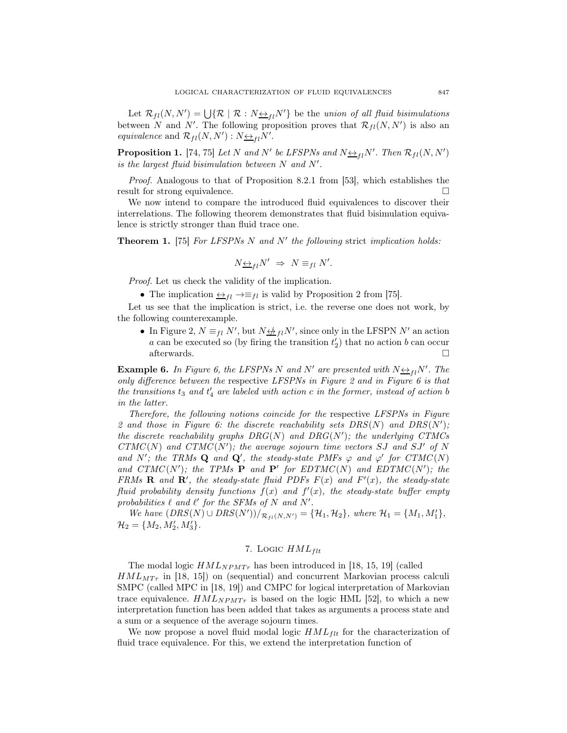Let  $\mathcal{R}_{fl}(N, N') = \bigcup \{ \mathcal{R} \mid \mathcal{R} : N \underline{\leftrightarrow}_{fl} N' \}$  be the union of all fluid bisimulations between N and N'. The following proposition proves that  $\mathcal{R}_{fl}(N, N')$  is also an equivalence and  $\mathcal{R}_{fl}(N,N') : N \underline{\leftrightarrow}_{fl} N'$ .

**Proposition 1.** [74, 75] Let N and N' be LFSPNs and  $N \underline{\leftrightarrow}_{fl} N'$ . Then  $\mathcal{R}_{fl}(N, N')$ is the largest fluid bisimulation between N and N′ .

Proof. Analogous to that of Proposition 8.2.1 from [53], which establishes the result for strong equivalence.

We now intend to compare the introduced fluid equivalences to discover their interrelations. The following theorem demonstrates that fluid bisimulation equivalence is strictly stronger than fluid trace one.

**Theorem 1.** [75] For LFSPNs N and N' the following strict implication holds:

$$
N_{\frac{\leftrightarrow}{\longrightarrow}l}N' \Rightarrow N \equiv_{fl} N'.
$$

Proof. Let us check the validity of the implication.

• The implication  $\overline{\leftrightarrow}_{fl} \rightarrow \equiv_{fl}$  is valid by Proposition 2 from [75].

Let us see that the implication is strict, i.e. the reverse one does not work, by the following counterexample.

• In Figure 2,  $N \equiv_{fl} N'$ , but  $N \not\leftrightarrow_{fl} N'$ , since only in the LFSPN  $N'$  an action a can be executed so (by firing the transition  $t_2'$ ) that no action b can occur afterwards.  $\square$ 

**Example 6.** In Figure 6, the LFSPNs N and N' are presented with  $N \rightarrow Pl N'$ . The only difference between the respective LFSPNs in Figure 2 and in Figure 6 is that the transitions  $t_3$  and  $t'_4$  are labeled with action c in the former, instead of action b in the latter.

Therefore, the following notions coincide for the respective LFSPNs in Figure 2 and those in Figure 6: the discrete reachability sets  $DRS(N)$  and  $DRS(N')$ ; the discrete reachability graphs  $DRG(N)$  and  $DRG(N')$ ; the underlying CTMCs  $CTMC(N)$  and  $CTMC(N')$ ; the average sojourn time vectors SJ and SJ' of N and N'; the TRMs Q and Q', the steady-state PMFs  $\varphi$  and  $\varphi'$  for  $CTMC(N)$ and  $CTMC(N')$ ; the TPMs **P** and **P'** for  $EDTMC(N)$  and  $EDTMC(N')$ ; the FRMs **R** and **R'**, the steady-state fluid PDFs  $F(x)$  and  $F'(x)$ , the steady-state fluid probability density functions  $f(x)$  and  $f'(x)$ , the steady-state buffer empty probabilities  $\ell$  and  $\ell'$  for the SFMs of N and N'.

We have  $(DRS(N) ∪ DRS(N'))/_{\mathcal{R}_{fl}(N,N')}$  = {H<sub>1</sub>, H<sub>2</sub>}, where H<sub>1</sub> = {M<sub>1</sub>, M'<sub>1</sub>},  $\mathcal{H}_2 = \{M_2, M'_2, M'_3\}.$ 

# 7. Logic  $HML_{flt}$

The modal logic  $HML_{NPMTr}$  has been introduced in [18, 15, 19] (called  $HML_{MTr}$  in [18, 15]) on (sequential) and concurrent Markovian process calculi SMPC (called MPC in [18, 19]) and CMPC for logical interpretation of Markovian trace equivalence.  $HML_{NPMT}$  is based on the logic HML [52], to which a new interpretation function has been added that takes as arguments a process state and a sum or a sequence of the average sojourn times.

We now propose a novel fluid modal logic  $HML_{ft}$  for the characterization of fluid trace equivalence. For this, we extend the interpretation function of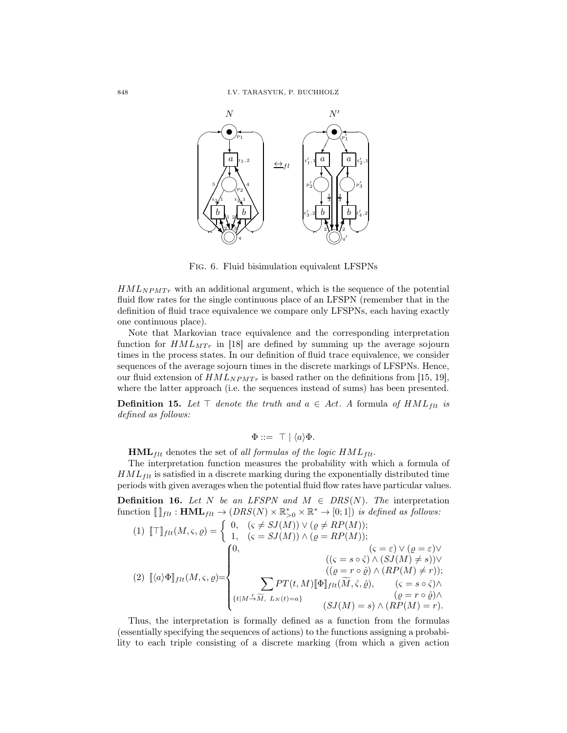

Fig. 6. Fluid bisimulation equivalent LFSPNs

 $HML_{NPMTr}$  with an additional argument, which is the sequence of the potential fluid flow rates for the single continuous place of an LFSPN (remember that in the definition of fluid trace equivalence we compare only LFSPNs, each having exactly one continuous place).

Note that Markovian trace equivalence and the corresponding interpretation function for  $HML_{MTr}$  in [18] are defined by summing up the average sojourn times in the process states. In our definition of fluid trace equivalence, we consider sequences of the average sojourn times in the discrete markings of LFSPNs. Hence, our fluid extension of  $HML_{NPMTr}$  is based rather on the definitions from [15, 19], where the latter approach (i.e. the sequences instead of sums) has been presented.

**Definition 15.** Let  $\top$  denote the truth and  $a \in Act$ . A formula of  $HML_{filt}$  is defined as follows:

$$
\Phi ::= \top | \langle a \rangle \Phi.
$$

 $HML_{flt}$  denotes the set of all formulas of the logic  $HML_{flt}$ .

The interpretation function measures the probability with which a formula of  $HML_{ftt}$  is satisfied in a discrete marking during the exponentially distributed time periods with given averages when the potential fluid flow rates have particular values.

**Definition 16.** Let N be an LFSPN and  $M \in \text{DRS}(N)$ . The interpretation function  $[\]_{ft} : \textbf{HML}_{ftt} \to (DRS(N) \times \mathbb{R}_{>0}^* \times \mathbb{R}^* \to [0;1])$  is defined as follows:

$$
(1) \ [\![\top]\!]_{flt}(M,\varsigma,\varrho) = \begin{cases} 0, & (\varsigma \neq SJ(M)) \vee (\varrho \neq RP(M)); \\ 1, & (\varsigma = SJ(M)) \wedge (\varrho = RP(M)); \\ & (\varsigma = \varepsilon) \vee (\varrho = \varepsilon) \vee \\ & ((\varsigma = s \circ \hat{\varsigma}) \wedge (SJ(M) \neq s)) \vee \\ & ((\varrho = r \circ \hat{\varrho}) \wedge (RP(M) \neq r)); \\ & ((\varrho = r \circ \hat{\varrho}) \wedge (RP(M) \neq r)); \\ & \{t \mid M \stackrel{t}{\rightarrow} \widetilde{M}, L_N(t) = a\} \end{cases}
$$

Thus, the interpretation is formally defined as a function from the formulas (essentially specifying the sequences of actions) to the functions assigning a probability to each triple consisting of a discrete marking (from which a given action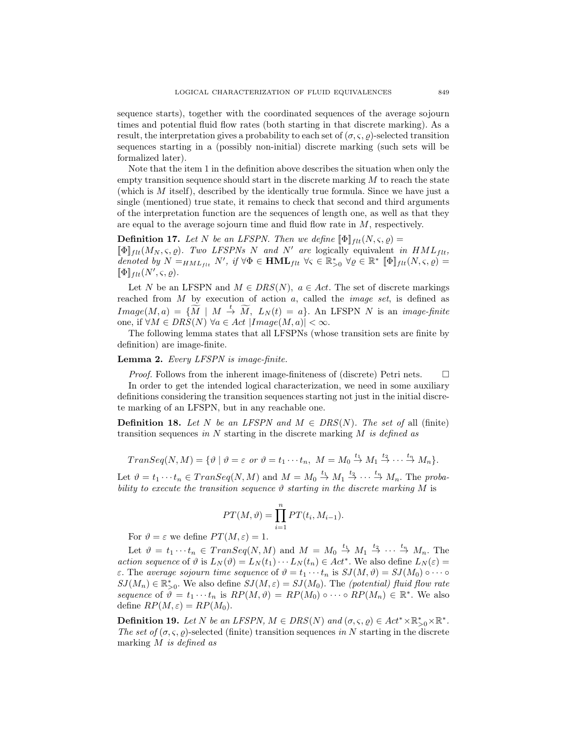sequence starts), together with the coordinated sequences of the average sojourn times and potential fluid flow rates (both starting in that discrete marking). As a result, the interpretation gives a probability to each set of  $(\sigma, \varsigma, \varrho)$ -selected transition sequences starting in a (possibly non-initial) discrete marking (such sets will be formalized later).

Note that the item 1 in the definition above describes the situation when only the empty transition sequence should start in the discrete marking  $M$  to reach the state (which is M itself), described by the identically true formula. Since we have just a single (mentioned) true state, it remains to check that second and third arguments of the interpretation function are the sequences of length one, as well as that they are equal to the average sojourn time and fluid flow rate in M, respectively.

**Definition 17.** Let N be an LFSPN. Then we define  $[\![\Phi]\!]_{ft}(N,\varsigma,\varrho) =$  $[\![\Phi]\!]_{\text{f}lt}(M_N, \varsigma, \varrho)$ . Two LFSPNs N and N' are logically equivalent in  $HML_{\text{f}lt}$ , denoted by  $N =_{HML_{fit}} N'$ , if  $\forall \Phi \in \textbf{HML}_{filt}$   $\forall \varsigma \in \mathbb{R}_{>0}^*$   $\forall \varrho \in \mathbb{R}^*$   $[\![\Phi]\!]_{filt}(N, \varsigma, \varrho) =$  $[\![\Phi]\!]_{flt}(N',\varsigma,\varrho).$ 

Let N be an LFSPN and  $M \in DRS(N)$ ,  $a \in Act$ . The set of discrete markings reached from  $M$  by execution of action  $a$ , called the *image set*, is defined as  $Image(M, a) = {\widetilde{M} \mid M \stackrel{t}{\rightarrow} \widetilde{M}, L_N(t) = a}.$  An LFSPN N is an *image-finite* one, if  $\forall M \in DRS(N)$   $\forall a \in Act | Image(M, a)| < \infty$ .

The following lemma states that all LFSPNs (whose transition sets are finite by definition) are image-finite.

## Lemma 2. Every LFSPN is image-finite.

*Proof.* Follows from the inherent image-finiteness of (discrete) Petri nets.  $\Box$ In order to get the intended logical characterization, we need in some auxiliary definitions considering the transition sequences starting not just in the initial discrete marking of an LFSPN, but in any reachable one.

**Definition 18.** Let N be an LFSPN and  $M \in DRS(N)$ . The set of all (finite) transition sequences in  $N$  starting in the discrete marking  $M$  is defined as

$$
Transeq(N, M) = \{ \vartheta \mid \vartheta = \varepsilon \text{ or } \vartheta = t_1 \cdots t_n, M = M_0 \stackrel{t_1}{\rightarrow} M_1 \stackrel{t_2}{\rightarrow} \cdots \stackrel{t_n}{\rightarrow} M_n \}.
$$

Let  $\vartheta = t_1 \cdots t_n \in Transeq(N, M)$  and  $M = M_0 \stackrel{t_1}{\rightarrow} M_1 \stackrel{t_2}{\rightarrow} \cdots \stackrel{t_n}{\rightarrow} M_n$ . The probability to execute the transition sequence  $\vartheta$  starting in the discrete marking M is

$$
PT(M,\vartheta) = \prod_{i=1}^{n} PT(t_i, M_{i-1}).
$$

For  $\vartheta = \varepsilon$  we define  $PT(M, \varepsilon) = 1$ .

Let  $\vartheta = t_1 \cdots t_n \in Transeq(N, M)$  and  $M = M_0 \stackrel{t_1}{\rightarrow} M_1 \stackrel{t_2}{\rightarrow} \cdots \stackrel{t_n}{\rightarrow} M_n$ . The action sequence of  $\vartheta$  is  $L_N(\vartheta) = L_N(t_1) \cdots L_N(t_n) \in Act^*$ . We also define  $L_N(\varepsilon) =$ ε. The average sojourn time sequence of  $\vartheta = t_1 \cdots t_n$  is  $SJ(M, \vartheta) = SJ(M_0) \circ \cdots \circ$  $SJ(M_n) \in \mathbb{R}_{>0}^*$ . We also define  $SJ(M, \varepsilon) = SJ(M_0)$ . The *(potential) fluid flow rate* sequence of  $\hat{\vartheta} = t_1 \cdots t_n$  is  $RP(M, \vartheta) = RP(M_0) \circ \cdots \circ RP(M_n) \in \mathbb{R}^*$ . We also define  $RP(M, \varepsilon) = RP(M_0)$ .

**Definition 19.** Let N be an LFSPN,  $M \in DRS(N)$  and  $(\sigma, \varsigma, \varrho) \in Act^* \times \mathbb{R}_{>0}^* \times \mathbb{R}^*$ . The set of  $(\sigma, \varsigma, \rho)$ -selected (finite) transition sequences in N starting in the discrete marking M is defined as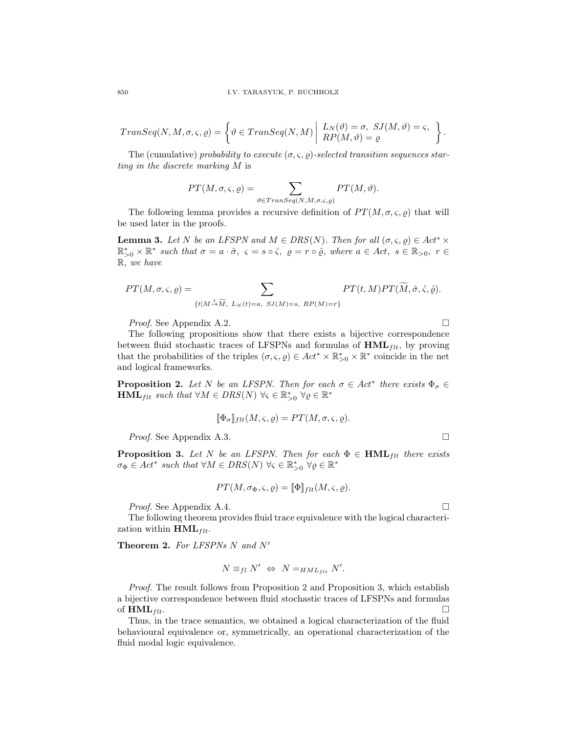$$
Transeq(N,M,\sigma ,\varsigma ,\varrho )=\left\{\vartheta \in Transeq(N,M) \left\vert \begin{array}{l} L_{N}(\vartheta )=\sigma ,\ SJ(M,\vartheta )=\varsigma ,\\ RP(M,\vartheta )=\varrho \end{array} \right. \right\}.
$$

The (cumulative) probability to execute  $(\sigma, \varsigma, \rho)$ -selected transition sequences starting in the discrete marking M is

$$
PT(M, \sigma, \varsigma, \varrho) = \sum_{\vartheta \in Transeq(N, M, \sigma, \varsigma, \varrho)} PT(M, \vartheta).
$$

The following lemma provides a recursive definition of  $PT(M, \sigma, \varsigma, \rho)$  that will be used later in the proofs.

**Lemma 3.** Let N be an LFSPN and  $M \in DRS(N)$ . Then for all  $(\sigma, \varsigma, \varrho) \in Act^* \times$  $\mathbb{R}_{>0}^* \times \mathbb{R}^*$  such that  $\sigma = a \cdot \hat{\sigma}$ ,  $\varsigma = s \circ \hat{\varsigma}$ ,  $\rho = r \circ \hat{\varrho}$ , where  $a \in Act$ ,  $s \in \mathbb{R}_{>0}$ ,  $r \in$ R, we have

$$
PT(M, \sigma, \varsigma, \varrho) = \sum_{\{t \mid M \stackrel{t}{\rightarrow} \widetilde{M}, L_N(t) = a, \ SI(M) = s, \ RP(M) = r\}} PT(t, M) PT(\widetilde{M}, \hat{\sigma}, \hat{\varsigma}, \hat{\varrho}).
$$

*Proof.* See Appendix A.2. □

The following propositions show that there exists a bijective correspondence between fluid stochastic traces of LFSPNs and formulas of  $HML_{flt}$ , by proving that the probabilities of the triples  $(\sigma, \varsigma, \varrho) \in Act^* \times \mathbb{R}_{>0}^* \times \mathbb{R}^*$  coincide in the net and logical frameworks.

**Proposition 2.** Let N be an LFSPN. Then for each  $\sigma \in Act^*$  there exists  $\Phi_{\sigma} \in$  $\mathbf{HML}_{flt} \text{ such that } \forall M \in DRS(N) \ \forall \varsigma \in \mathbb{R}_{>0}^* \ \forall \varrho \in \mathbb{R}^*$ 

$$
[\![\Phi_{\sigma}]\!]_{flt}(M,\varsigma,\varrho)=PT(M,\sigma,\varsigma,\varrho).
$$

*Proof.* See Appendix A.3. □

**Proposition 3.** Let N be an LFSPN. Then for each  $\Phi \in \text{HML}_{flt}$  there exists  $\sigma_{\Phi} \in Act^*$  such that  $\forall M \in DRS(N)$   $\forall \varsigma \in \mathbb{R}_{>0}^*$   $\forall \varrho \in \mathbb{R}^*$ 

$$
PT(M, \sigma_{\Phi}, \varsigma, \varrho) = [\![\Phi]\!]_{flt}(M, \varsigma, \varrho).
$$

*Proof.* See Appendix A.4.

The following theorem provides fluid trace equivalence with the logical characterization within  $HML_{flt}$ .

Theorem 2. For LFSPNs N and N'

$$
N \equiv_{fl} N' \Leftrightarrow N =_{HML_{flt}} N'.
$$

*Proof.* The result follows from Proposition 2 and Proposition 3, which establish a bijective correspondence between fluid stochastic traces of LFSPNs and formulas of  $\mathbf{HML}_{flt}$ .

Thus, in the trace semantics, we obtained a logical characterization of the fluid behavioural equivalence or, symmetrically, an operational characterization of the fluid modal logic equivalence.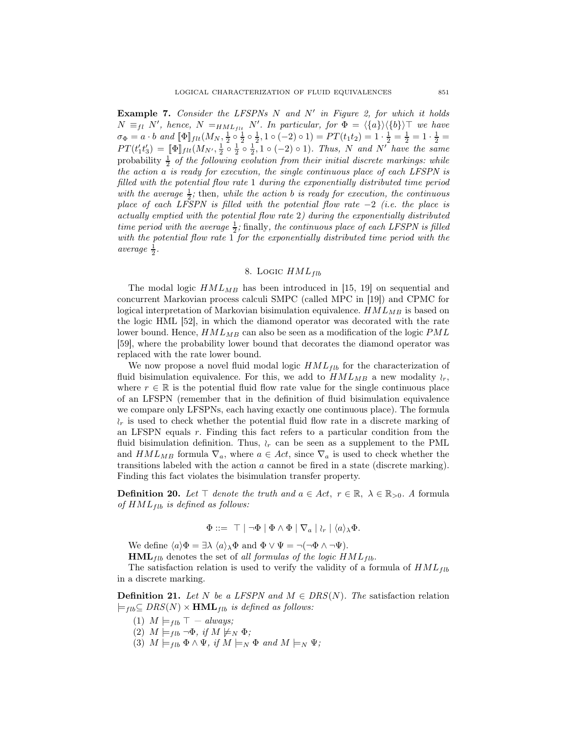**Example 7.** Consider the LFSPNs  $N$  and  $N'$  in Figure 2, for which it holds  $N \equiv_{fl} N'$ , hence,  $N =_{HML_{flt}} N'$ . In particular, for  $\Phi = \langle \{a\} \rangle \langle \{b\} \rangle \top$  we have  $\sigma_{\Phi} = a \cdot b \text{ and } [\![\Phi]\!]_{ftt}(M_{N}, \frac{1}{2} \circ \frac{1}{2} \circ \frac{1}{2}, 1 \circ (-2) \circ 1) = PT(t_1t_2) = 1 \cdot \frac{1}{2} = \frac{1}{2} = 1 \cdot \frac{1}{2} =$  $PT(t'_1t'_3) = \llbracket \Phi \rrbracket_{flt}(M_{N'}, \frac{1}{2} \circ \frac{1}{2} \circ \frac{1}{2}, 1 \circ (-2) \circ 1)$ . Thus, N and N' have the same probability  $\frac{1}{2}$  of the following evolution from their initial discrete markings: while the action a is ready for execution, the single continuous place of each LFSPN is filled with the potential flow rate 1 during the exponentially distributed time period with the average  $\frac{1}{2}$ ; then, while the action b is ready for execution, the continuous place of each LFSPN is filled with the potential flow rate  $-2$  (i.e. the place is actually emptied with the potential flow rate 2) during the exponentially distributed time period with the average  $\frac{1}{2}$ ; finally, the continuous place of each LFSPN is filled with the potential flow rate 1 for the exponentially distributed time period with the average  $\frac{1}{2}$ .

#### 8. Logic  $HML_{fib}$

The modal logic  $HML_{MB}$  has been introduced in [15, 19] on sequential and concurrent Markovian process calculi SMPC (called MPC in [19]) and CPMC for logical interpretation of Markovian bisimulation equivalence.  $HML_{MB}$  is based on the logic HML [52], in which the diamond operator was decorated with the rate lower bound. Hence,  $HML_{MB}$  can also be seen as a modification of the logic  $PML$ [59], where the probability lower bound that decorates the diamond operator was replaced with the rate lower bound.

We now propose a novel fluid modal logic  $HML_{fib}$  for the characterization of fluid bisimulation equivalence. For this, we add to  $HML_{MB}$  a new modality  $\wr_r$ , where  $r \in \mathbb{R}$  is the potential fluid flow rate value for the single continuous place of an LFSPN (remember that in the definition of fluid bisimulation equivalence we compare only LFSPNs, each having exactly one continuous place). The formula  $\lambda_r$  is used to check whether the potential fluid flow rate in a discrete marking of an LFSPN equals  $r$ . Finding this fact refers to a particular condition from the fluid bisimulation definition. Thus,  $\lambda_r$  can be seen as a supplement to the PML and  $HML_{MB}$  formula  $\nabla_a$ , where  $a \in Act$ , since  $\nabla_a$  is used to check whether the transitions labeled with the action a cannot be fired in a state (discrete marking). Finding this fact violates the bisimulation transfer property.

**Definition 20.** Let  $\top$  denote the truth and  $a \in Act$ ,  $r \in \mathbb{R}$ ,  $\lambda \in \mathbb{R}_{>0}$ . A formula of  $HML_{fib}$  is defined as follows:

$$
\Phi ::= \top | \neg \Phi | \Phi \wedge \Phi | \nabla_a | \wr_r | \langle a \rangle_{\lambda} \Phi.
$$

We define  $\langle a \rangle \Phi = \exists \lambda \langle a \rangle_{\lambda} \Phi$  and  $\Phi \vee \Psi = \neg(\neg \Phi \wedge \neg \Psi)$ .

 $HML_{fib}$  denotes the set of all formulas of the logic  $HML_{fib}$ .

The satisfaction relation is used to verify the validity of a formula of  $HML_{fib}$ in a discrete marking.

**Definition 21.** Let N be a LFSPN and  $M \in \text{DRS}(N)$ . The satisfaction relation  $\models$ <sub>flb</sub>⊆ DRS(N) × **HML**<sub>flb</sub> is defined as follows:

- (1)  $M \models_{fib} \top always;$
- $(2)$   $M \models_{f1b} \neg \Phi$ , if  $M \not\models_N \Phi$ ;
- (3)  $M \models_{flb} \Phi \wedge \Psi$ , if  $M \models_N \Phi$  and  $M \models_N \Psi$ ;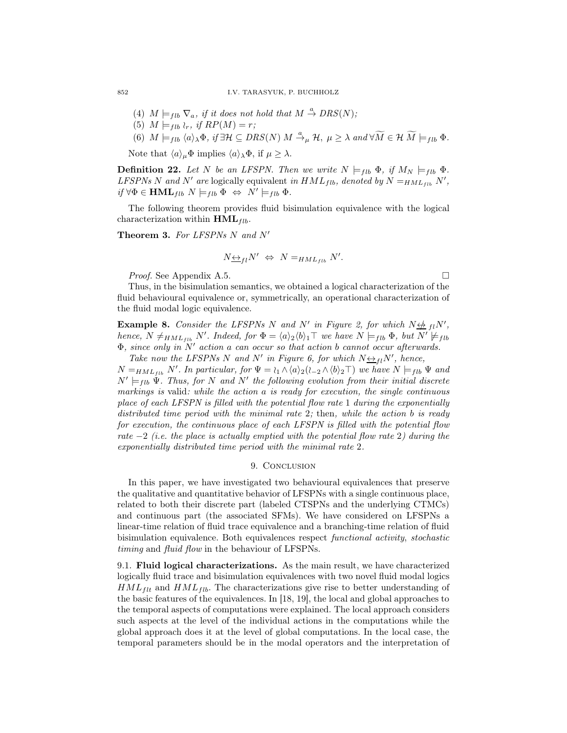- (4)  $M \models_{fib} \nabla_a$ , if it does not hold that  $M \stackrel{a}{\to} DRS(N)$ ;
- (5)  $M \models_{flb} \wr_r$ , if  $RP(M) = r$ ;
- (6)  $M \models_{fib} \langle a \rangle_{\lambda} \Phi, \text{ if } \exists \mathcal{H} \subseteq DRS(N) \text{ } M \xrightarrow{a} \mu \mathcal{H}, \text{ } \mu \geq \lambda \text{ and } \forall \widetilde{M} \in \mathcal{H} \text{ } \widetilde{M} \models_{fib} \Phi.$

Note that  $\langle a \rangle_{\mu} \Phi$  implies  $\langle a \rangle_{\lambda} \Phi$ , if  $\mu \geq \lambda$ .

**Definition 22.** Let N be an LFSPN. Then we write  $N \models_{flb} \Phi$ , if  $M_N \models_{flb} \Phi$ . LFSPNs N and N' are logically equivalent in  $HML_{fib}$ , denoted by  $N =_{HML_{fib}} N'$ ,  $if \forall \Phi \in \textbf{HML}_{fib} \ N \models_{fib} \Phi \ \Leftrightarrow \ N' \models_{fib} \Phi.$ 

The following theorem provides fluid bisimulation equivalence with the logical characterization within  $HML_{flb}$ .

Theorem 3. For LFSPNs N and N'

$$
N_{\underbrace{\leftrightarrow}_{fl}} N' \Leftrightarrow N_{\underbrace{=}_{HML_{fib}} N'.
$$

*Proof.* See Appendix A.5. □

Thus, in the bisimulation semantics, we obtained a logical characterization of the fluid behavioural equivalence or, symmetrically, an operational characterization of the fluid modal logic equivalence.

**Example 8.** Consider the LFSPNs N and N' in Figure 2, for which  $N \nleftrightarrow_H N'$ , hence,  $N \neq_{HML_{fib}} N'$ . Indeed, for  $\Phi = \langle a \rangle_2 \langle b \rangle_1 \top$  we have  $N \models_{fib} \Phi$ , but  $N' \not\models_{fib}$  $\Phi$ , since only in  $N'$  action a can occur so that action b cannot occur afterwards.

Take now the LFSPNs N and N' in Figure 6, for which  $N \leftrightarrow_{fl} N'$ , hence,  $N =_{HML_{fib}} N'$ . In particular, for  $\Psi = \iota_1 \wedge \langle a \rangle_2 (\iota_{-2} \wedge \langle b \rangle_2 \top)$  we have  $N \models_{fib} \Psi$  and  $N' \models_{fib} \Psi$ . Thus, for N and N' the following evolution from their initial discrete markings is valid: while the action a is ready for execution, the single continuous place of each LFSPN is filled with the potential flow rate 1 during the exponentially distributed time period with the minimal rate 2; then, while the action  $b$  is ready for execution, the continuous place of each LFSPN is filled with the potential flow rate  $-2$  (i.e. the place is actually emptied with the potential flow rate 2) during the exponentially distributed time period with the minimal rate 2.

#### 9. CONCLUSION

In this paper, we have investigated two behavioural equivalences that preserve the qualitative and quantitative behavior of LFSPNs with a single continuous place, related to both their discrete part (labeled CTSPNs and the underlying CTMCs) and continuous part (the associated SFMs). We have considered on LFSPNs a linear-time relation of fluid trace equivalence and a branching-time relation of fluid bisimulation equivalence. Both equivalences respect functional activity, stochastic timing and fluid flow in the behaviour of LFSPNs.

9.1. Fluid logical characterizations. As the main result, we have characterized logically fluid trace and bisimulation equivalences with two novel fluid modal logics  $HML_{f\mu}$  and  $HML_{f\mu}$ . The characterizations give rise to better understanding of the basic features of the equivalences. In [18, 19], the local and global approaches to the temporal aspects of computations were explained. The local approach considers such aspects at the level of the individual actions in the computations while the global approach does it at the level of global computations. In the local case, the temporal parameters should be in the modal operators and the interpretation of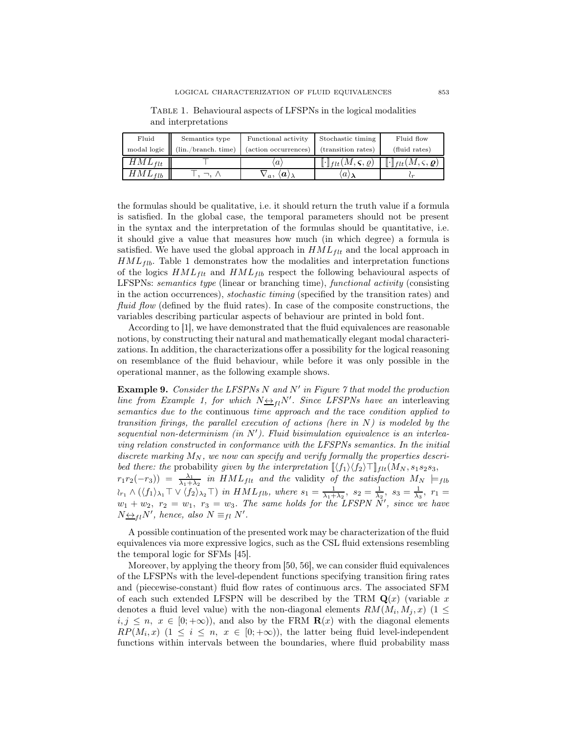| Fluid       | Semantics type      | Functional activity                    | Stochastic timing                                                           | Fluid flow                                                            |
|-------------|---------------------|----------------------------------------|-----------------------------------------------------------------------------|-----------------------------------------------------------------------|
| modal logic | (lin./branch. time) | (action occurrences)                   | (transition rates)                                                          | (fluid rates)                                                         |
| $HML_{flt}$ |                     | $\boldsymbol{a}$                       | $\lbrack\!\lbrack\cdot\rbrack\!\rbrack_{\textit{flt}}(M,\varsigma,\varrho)$ | $\llbracket \cdot \rrbracket_{flt}(M,\varsigma,\boldsymbol{\varrho})$ |
| $HML_{fib}$ |                     | $\langle a \rangle$<br>$\mathbf{v}_a,$ | $\langle a \rangle$                                                         |                                                                       |

Table 1. Behavioural aspects of LFSPNs in the logical modalities and interpretations

the formulas should be qualitative, i.e. it should return the truth value if a formula is satisfied. In the global case, the temporal parameters should not be present in the syntax and the interpretation of the formulas should be quantitative, i.e. it should give a value that measures how much (in which degree) a formula is satisfied. We have used the global approach in  $HML_{flt}$  and the local approach in  $HML_{fib}$ . Table 1 demonstrates how the modalities and interpretation functions of the logics  $HML_{flt}$  and  $HML_{flb}$  respect the following behavioural aspects of LFSPNs: semantics type (linear or branching time), functional activity (consisting in the action occurrences), stochastic timing (specified by the transition rates) and fluid flow (defined by the fluid rates). In case of the composite constructions, the variables describing particular aspects of behaviour are printed in bold font.

According to [1], we have demonstrated that the fluid equivalences are reasonable notions, by constructing their natural and mathematically elegant modal characterizations. In addition, the characterizations offer a possibility for the logical reasoning on resemblance of the fluid behaviour, while before it was only possible in the operational manner, as the following example shows.

**Example 9.** Consider the LFSPNs  $N$  and  $N'$  in Figure  $\gamma$  that model the production line from Example 1, for which  $N \leftrightarrow H N'$ . Since LFSPNs have an interleaving semantics due to the continuous time approach and the race condition applied to transition firings, the parallel execution of actions (here in  $N$ ) is modeled by the sequential non-determinism (in  $N'$ ). Fluid bisimulation equivalence is an interleaving relation constructed in conformance with the LFSPNs semantics. In the initial discrete marking  $M_N$ , we now can specify and verify formally the properties described there: the probability given by the interpretation  $\langle f_1 \rangle \langle f_2 \rangle \top \rangle_{ft}(M_N, s_1s_2s_3,$  $r_1r_2(-r_3)$  =  $\frac{\lambda_1}{\lambda_1+\lambda_2}$  in  $HML_{flt}$  and the validity of the satisfaction  $M_N \models_{flb}$  $\lambda_{r_1} \wedge (\langle f_1 \rangle_{\lambda_1} \top \vee \langle f_2 \rangle_{\lambda_2} \top)$  in  $HML_{fib}$ , where  $s_1 = \frac{1}{\lambda_1 + \lambda_2}$ ,  $s_2 = \frac{1}{\lambda_2}$ ,  $s_3 = \frac{1}{\lambda_3}$ ,  $r_1 =$  $w_1 + w_2$ ,  $r_2 = w_1$ ,  $r_3 = w_3$ . The same holds for the LFSPN  $\tilde{N}'$ , since we have  $N_{\frac{\leftrightarrow}{\sim}fl}N'$ , hence, also  $N \equiv_{fl} N'$ .

A possible continuation of the presented work may be characterization of the fluid equivalences via more expressive logics, such as the CSL fluid extensions resembling the temporal logic for SFMs [45].

Moreover, by applying the theory from [50, 56], we can consider fluid equivalences of the LFSPNs with the level-dependent functions specifying transition firing rates and (piecewise-constant) fluid flow rates of continuous arcs. The associated SFM of each such extended LFSPN will be described by the TRM  $\mathbf{Q}(x)$  (variable x denotes a fluid level value) with the non-diagonal elements  $RM(M_i, M_j, x)$  (1  $\leq$  $i, j \leq n, x \in [0, +\infty)$ , and also by the FRM  $\mathbf{R}(x)$  with the diagonal elements  $RP(M_i, x)$   $(1 \leq i \leq n, x \in [0, +\infty))$ , the latter being fluid level-independent functions within intervals between the boundaries, where fluid probability mass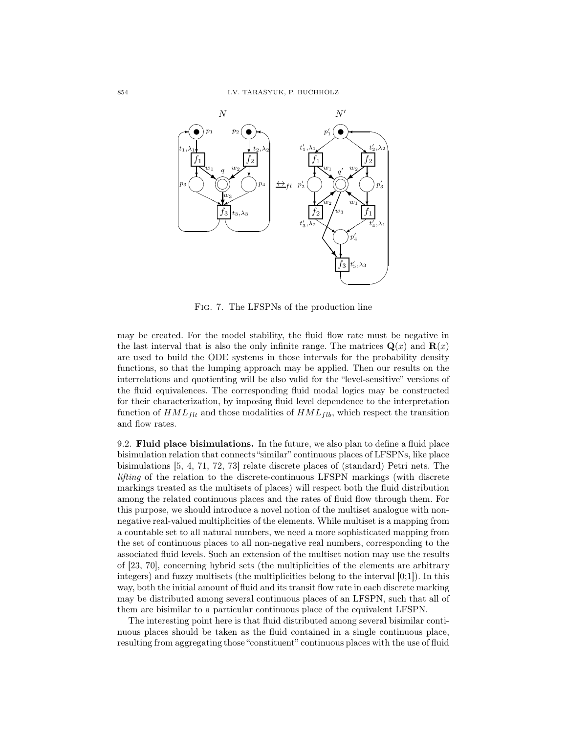

Fig. 7. The LFSPNs of the production line

may be created. For the model stability, the fluid flow rate must be negative in the last interval that is also the only infinite range. The matrices  $\mathbf{Q}(x)$  and  $\mathbf{R}(x)$ are used to build the ODE systems in those intervals for the probability density functions, so that the lumping approach may be applied. Then our results on the interrelations and quotienting will be also valid for the "level-sensitive" versions of the fluid equivalences. The corresponding fluid modal logics may be constructed for their characterization, by imposing fluid level dependence to the interpretation function of  $HML_{flt}$  and those modalities of  $HML_{flb}$ , which respect the transition and flow rates.

9.2. Fluid place bisimulations. In the future, we also plan to define a fluid place bisimulation relation that connects "similar" continuous places of LFSPNs, like place bisimulations [5, 4, 71, 72, 73] relate discrete places of (standard) Petri nets. The lifting of the relation to the discrete-continuous LFSPN markings (with discrete markings treated as the multisets of places) will respect both the fluid distribution among the related continuous places and the rates of fluid flow through them. For this purpose, we should introduce a novel notion of the multiset analogue with nonnegative real-valued multiplicities of the elements. While multiset is a mapping from a countable set to all natural numbers, we need a more sophisticated mapping from the set of continuous places to all non-negative real numbers, corresponding to the associated fluid levels. Such an extension of the multiset notion may use the results of [23, 70], concerning hybrid sets (the multiplicities of the elements are arbitrary integers) and fuzzy multisets (the multiplicities belong to the interval [0;1]). In this way, both the initial amount of fluid and its transit flow rate in each discrete marking may be distributed among several continuous places of an LFSPN, such that all of them are bisimilar to a particular continuous place of the equivalent LFSPN.

The interesting point here is that fluid distributed among several bisimilar continuous places should be taken as the fluid contained in a single continuous place, resulting from aggregating those "constituent" continuous places with the use of fluid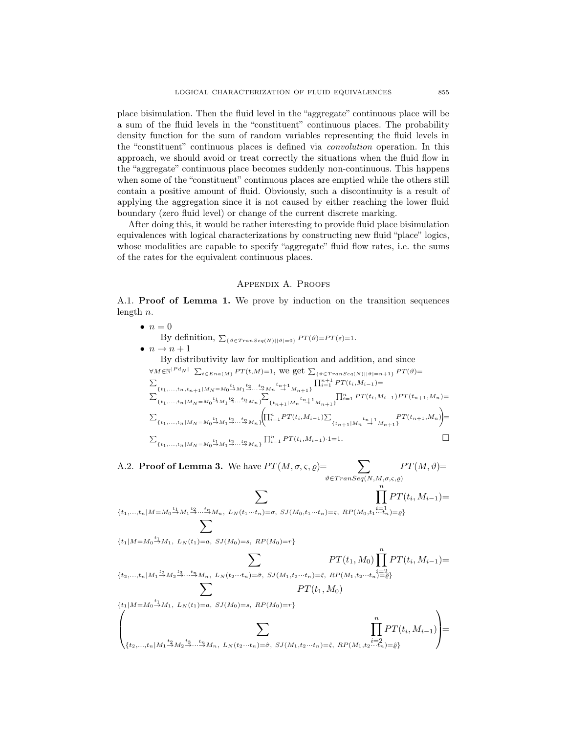place bisimulation. Then the fluid level in the "aggregate" continuous place will be a sum of the fluid levels in the "constituent" continuous places. The probability density function for the sum of random variables representing the fluid levels in the "constituent" continuous places is defined via convolution operation. In this approach, we should avoid or treat correctly the situations when the fluid flow in the "aggregate" continuous place becomes suddenly non-continuous. This happens when some of the "constituent" continuous places are emptied while the others still contain a positive amount of fluid. Obviously, such a discontinuity is a result of applying the aggregation since it is not caused by either reaching the lower fluid boundary (zero fluid level) or change of the current discrete marking.

After doing this, it would be rather interesting to provide fluid place bisimulation equivalences with logical characterizations by constructing new fluid "place" logics, whose modalities are capable to specify "aggregate" fluid flow rates, i.e. the sums of the rates for the equivalent continuous places.

## Appendix A. Proofs

A.1. Proof of Lemma 1. We prove by induction on the transition sequences length  $n$ .

 $\bullet$   $n=0$ By definition,  $\sum_{\{\vartheta \in Transeq(N) \mid |\vartheta|=0\}} PT(\vartheta) = PT(\varepsilon) = 1$ .  $\bullet$   $n \rightarrow n+1$ By distributivity law for multiplication and addition, and since  $\forall M \in \mathbb{N}^{|P d_N|}$   $\sum_{t \in E n a(M)} PT(t,M)=1$ , we get  $\sum_{\{\vartheta \in Transeq(N) \mid |\vartheta|=n+1\}} PT(\vartheta)=$  $\sum_{i=1}^{n}$  $\{ \substack{t_1, \ldots, t_n, t_{n+1} | M_N = M_0^{} \stackrel{t_1}{\to} M_1^{} \stackrel{t_2}{\to} \cdots \stackrel{t_n}{\to} M_n^{} \stackrel{t_{n+1}}{\to} M_{n+1}^{} \}} \prod_{i=1}^{n+1} PT(t_i, M_{i-1}) =$  $\begin{array}{l} \sum_{\left\{\,t_{\,1},\,\ldots,\,t_{\,n}\,\left|\,M_{\,N}\right.\right.=M_{0}\,\overset{t_{1}}{\rightarrow}\,M_{1}\,\overset{t_{2}}{\rightarrow}\,\cdots\,\overset{t_{n}}{\rightarrow}\,M_{n}\,\right\}}\,\sum\limits\limits_{\,} \end{array}$  $\prod_{i=1}^n \prod_{i=1}^n PT(t_i, M_{i-1})PT(t_{n+1}, M_n) =$  $\sum\nolimits_{\left\{\,t_{\,1},\,\ldots,\,t_{\,n}\,\right\vert\,M_{\,N}\,=\,M_{\,0}\,\stackrel{t_{\,1}}{\rightarrow}\,M_{\,1}\,\stackrel{t_{\,2}}{\rightarrow}\,\ldots\,\stackrel{t_{\,n}}{\rightarrow}\,M_{\,n}\,\right\}}$  $\sqrt{\prod_{i=1}^n PT(t_i,M_{i-1})}\sum$  ${t_{n+1}|M_n}^{t_n+1} \stackrel{PT(t_{n+1},M_n)}{\to}$  $\setminus$ =  $\sum_{\{t_1,\ldots,t_n \mid M_N = M_0 \stackrel{t_1}{\rightarrow} M_1 \stackrel{t_2}{\rightarrow} \ldots \stackrel{t_n}{\rightarrow} M_n\}} \prod_{i=1}^n PT(t_i,M_{i-1}) \cdot 1 = 1.$ 

A.2. **Proof of Lemma 3.** We have  $PT(M, \sigma, \varsigma, \varrho) =$   $\sum$  $\vartheta \in Transeq(N,M,\sigma,\varsigma,\varrho)$  $PT(M,\vartheta)=$  $\prod^n$ 

 ${t_1,...,t_n | M = M_0 \stackrel{t_1}{\rightarrow} M_1 \stackrel{t_2}{\rightarrow} ... \stackrel{t_n}{\rightarrow} M_n, \ L_N(t_1 \cdots t_n) = \sigma, \ SJ(M_0,t_1 \cdots t_n) = \varsigma, \ RP(M_0,t_1 \stackrel{i=1}{\cdots} t_n) = \varrho}$  $i=1$  $PT(t_i, M_{i-1}) =$  $\overline{\phantom{0}}$ 

 $\overline{\phantom{0}}$ 

 ${t_1 | M = M_0 \xrightarrow{t_1} M_1, L_N(t_1) = a, SJ(M_0) = s, RP(M_0) = r}$ 

$$
\sum_{\{t_2,\ldots,t_n \mid M_1 \stackrel{t_2}{\to} M_2 \stackrel{t_3}{\to} \ldots \stackrel{t_n}{\to} M_n, \ L_N(t_2 \cdots t_n) = \hat{\sigma}, \ SJ(M_1, t_2 \cdots t_n) = \hat{\varsigma}, \ RP(M_1, t_2 \cdots t_n) = \hat{\varsigma} \}} \frac{PT(t_1, M_0) \prod_{i=2}^n PT(t_i, M_{i-1}) = \sum_{\{t_1 \mid M = M_0 \stackrel{t_1}{\to} M_1, \ L_N(t_1) = a, \ SJ(M_0) = s, \ RP(M_0) = r\}} \frac{PT(t_1, M_0)}{\sum_{\{t_2,\ldots,t_n \mid M_1 \stackrel{t_2}{\to} M_2 \stackrel{t_3}{\to} \ldots \stackrel{t_n}{\to} M_n, \ L_N(t_2 \cdots t_n) = \hat{\sigma}, \ SJ(M_1, t_2 \cdots t_n) = \hat{\varsigma}, \ RP(M_1, t_2 \cdots t_n) = \hat{\varrho} \}} \prod_{i=2}^n PT(t_i, M_{i-1})
$$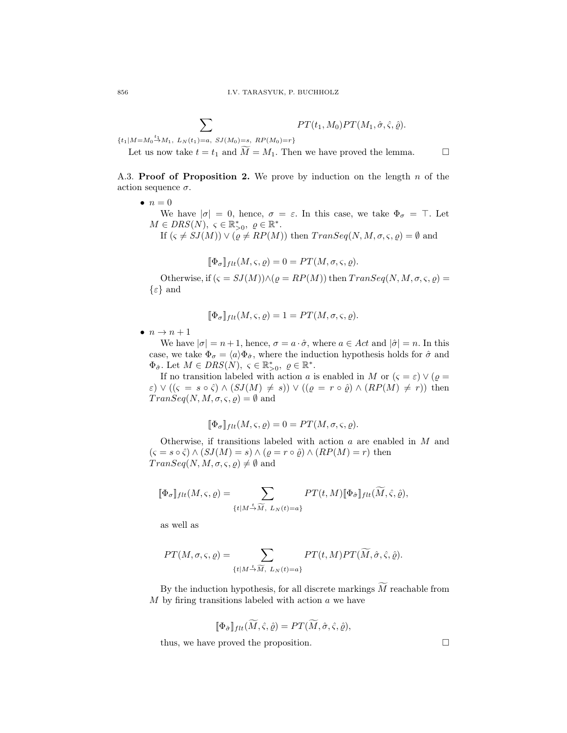$$
\sum_{(t,\lambda)=\mathcal{I}(t)} PT(t_1,M_0) PT(M_1,\hat{\sigma},\hat{\varsigma},\hat{\varrho}).
$$

 ${t_1 | M = M_0 \xrightarrow{t_1} M_1, L_N(t_1) = a, SJ(M_0) = s, RP(M_0) = r}$ 

Let us now take  $t = t_1$  and  $\widetilde{M} = M_1$ . Then we have proved the lemma.  $\square$ 

A.3. **Proof of Proposition 2.** We prove by induction on the length  $n$  of the action sequence  $\sigma$ .

 $\bullet$   $n=0$ 

We have  $|\sigma| = 0$ , hence,  $\sigma = \varepsilon$ . In this case, we take  $\Phi_{\sigma} = \top$ . Let  $M \in DRS(N)$ ,  $\varsigma \in \mathbb{R}_{>0}^*$ ,  $\varrho \in \mathbb{R}^*$ .

If  $(\varsigma \neq \mathfrak{SI}(M)) \vee (\varrho \neq \mathfrak{RP}(M))$  then  $Trans\mathfrak{e}q(N, M, \sigma, \varsigma, \varrho) = \emptyset$  and

$$
[\![\Phi_{\sigma}]\!]_{flt}(M,\varsigma,\varrho)=0=PT(M,\sigma,\varsigma,\varrho).
$$

Otherwise, if  $(\varsigma = SJ(M)) \wedge (\varrho = RP(M))$  then  $TransSeq(N, M, \sigma, \varsigma, \varrho)$  $\{\varepsilon\}$  and

$$
[\![\Phi_{\sigma}]\!]_{flt}(M,\varsigma,\varrho)=1=PT(M,\sigma,\varsigma,\varrho).
$$

 $\bullet$   $n \rightarrow n+1$ 

We have  $|\sigma| = n + 1$ , hence,  $\sigma = a \cdot \hat{\sigma}$ , where  $a \in Act$  and  $|\hat{\sigma}| = n$ . In this case, we take  $\Phi_{\sigma} = \langle a \rangle \Phi_{\hat{\sigma}}$ , where the induction hypothesis holds for  $\hat{\sigma}$  and  $\Phi_{\hat{\sigma}}$ . Let  $M \in DRS(N)$ ,  $\varsigma \in \mathbb{R}_{>0}^*$ ,  $\varrho \in \mathbb{R}^*$ .

If no transition labeled with action a is enabled in M or  $(\varsigma = \varepsilon) \vee (\varrho =$  $\varepsilon$ )  $\vee$  (( $\varsigma = s \circ \hat{\varsigma}$ )  $\wedge$  ( $SJ(M) \neq s$ ))  $\vee$  (( $\varrho = r \circ \hat{\varrho}$ )  $\wedge$  ( $RP(M) \neq r$ )) then  $Transeq(N, M, \sigma, \varsigma, \varrho) = \emptyset$  and

$$
\llbracket \Phi_{\sigma} \rrbracket_{flt}(M, \varsigma, \varrho) = 0 = PT(M, \sigma, \varsigma, \varrho).
$$

Otherwise, if transitions labeled with action a are enabled in M and  $(s = s \circ \hat{\varsigma}) \wedge (SJ(M) = s) \wedge (\varrho = r \circ \hat{\varrho}) \wedge (RP(M) = r)$  then  $Transeq(N, M, \sigma, \varsigma, \varrho) \neq \emptyset$  and

$$
\llbracket \Phi_{\sigma} \rrbracket_{flt}(M, \varsigma, \varrho) = \sum_{\{t \mid M \stackrel{t}{\rightarrow} \widetilde{M}, L_N(t) = a\}} PT(t, M) \llbracket \Phi_{\hat{\sigma}} \rrbracket_{flt}(\widetilde{M}, \hat{\varsigma}, \hat{\varrho}),
$$

as well as

$$
PT(M, \sigma, \varsigma, \varrho) = \sum_{\{t \mid M \stackrel{t}{\rightarrow} \widetilde{M}, L_N(t) = a\}} PT(t, M) PT(\widetilde{M}, \hat{\sigma}, \hat{\varsigma}, \hat{\varrho}).
$$

By the induction hypothesis, for all discrete markings  $\tilde{M}$  reachable from  $M$  by firing transitions labeled with action  $a$  we have

$$
[\![\Phi_{\hat{\sigma}}]\!]_{flt}(\widetilde{M},\hat{\varsigma},\hat{\varrho})=PT(\widetilde{M},\hat{\sigma},\hat{\varsigma},\hat{\varrho}),
$$

thus, we have proved the proposition.  $\Box$ 

$$
856\,
$$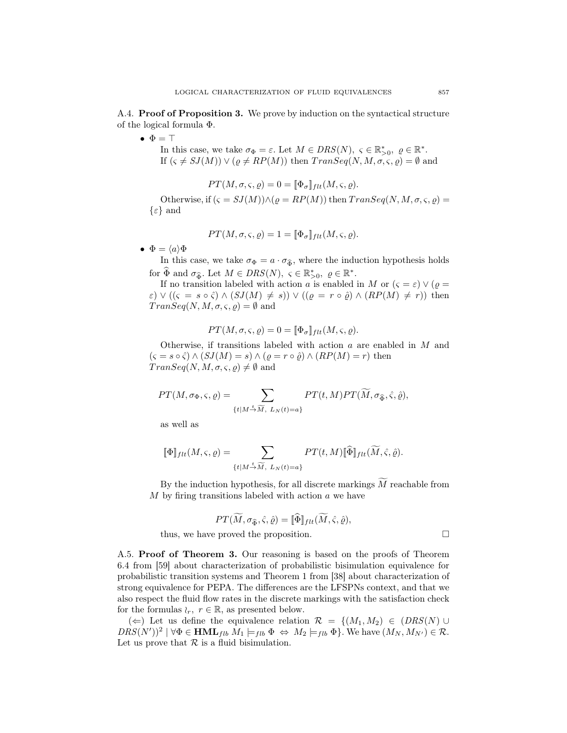A.4. Proof of Proposition 3. We prove by induction on the syntactical structure of the logical formula Φ.

 $\bullet$   $\Phi = \top$ 

In this case, we take  $\sigma_{\Phi} = \varepsilon$ . Let  $M \in DRS(N)$ ,  $\varsigma \in \mathbb{R}_{>0}^*$ ,  $\varrho \in \mathbb{R}^*$ . If  $(s \neq SJ(M)) \vee (\rho \neq RP(M))$  then  $TransSeq(N, M, \sigma, \varsigma, \rho) = \emptyset$  and

$$
PT(M, \sigma, \varsigma, \varrho) = 0 = [\![\Phi_{\sigma}]\!]_{flt}(M, \varsigma, \varrho).
$$

Otherwise, if  $(\varsigma = SJ(M)) \wedge (\varrho = RP(M))$  then  $TransSeq(N, M, \sigma, \varsigma, \varrho)$  $\{\varepsilon\}$  and

$$
PT(M, \sigma, \varsigma, \varrho) = 1 = [\![\Phi_{\sigma}]\!]_{flt}(M, \varsigma, \varrho).
$$

•  $\Phi = \langle a \rangle \Phi$ 

In this case, we take  $\sigma_{\Phi} = a \cdot \sigma_{\widehat{\Phi}}$ , where the induction hypothesis holds for  $\widehat{\Phi}$  and  $\sigma_{\widehat{\Phi}}$ . Let  $M \in DRS(N)$ ,  $\varsigma \in \mathbb{R}_{>0}^*$ ,  $\varrho \in \mathbb{R}^*$ .

If no transition labeled with action a is enabled in M or  $(\varsigma = \varepsilon) \vee (\varrho =$  $\varepsilon$ )  $\vee$  (( $\varsigma = s \circ \hat{\varsigma}$ )  $\wedge$  ( $SJ(M) \neq s$ ))  $\vee$  (( $\varrho = r \circ \hat{\varrho}$ )  $\wedge$  ( $RP(M) \neq r$ )) then  $Transeq(N, M, \sigma, \varsigma, \varrho) = \emptyset$  and

$$
PT(M, \sigma, \varsigma, \varrho) = 0 = [\![\Phi_{\sigma}]\!]_{flt}(M, \varsigma, \varrho).
$$

Otherwise, if transitions labeled with action a are enabled in M and  $(s = s \circ \hat{\zeta}) \wedge (SJ(M) = s) \wedge (\varrho = r \circ \hat{\varrho}) \wedge (RP(M) = r)$  then  $Transeq(N, M, \sigma, \varsigma, \varrho) \neq \emptyset$  and

$$
PT(M, \sigma_{\Phi}, \varsigma, \varrho) = \sum_{\{t \mid M \stackrel{t}{\rightarrow} \widetilde{M}, L_N(t) = a\}} PT(t, M) PT(\widetilde{M}, \sigma_{\widehat{\Phi}}, \widehat{\varsigma}, \widehat{\varrho}),
$$

as well as

$$
\llbracket \Phi \rrbracket_{flt}(M,\varsigma,\varrho) = \sum_{\{t \mid M \stackrel{t}{\to} \widetilde{M}, \ L_N(t) = a\}} PT(t,M) \llbracket \widehat{\Phi} \rrbracket_{flt}(\widetilde{M},\widehat{\varsigma},\widehat{\varrho}).
$$

By the induction hypothesis, for all discrete markings  $\widetilde{M}$  reachable from  $M$  by firing transitions labeled with action  $a$  we have

$$
PT(\widetilde{M}, \sigma_{\widehat{\Phi}}, \widehat{\varsigma}, \widehat{\varrho}) = [\![\widehat{\Phi}]\!]_{flt}(\widetilde{M}, \widehat{\varsigma}, \widehat{\varrho}),
$$
 thus, we have proved the proposition.  $\square$ 

A.5. Proof of Theorem 3. Our reasoning is based on the proofs of Theorem 6.4 from [59] about characterization of probabilistic bisimulation equivalence for probabilistic transition systems and Theorem 1 from [38] about characterization of strong equivalence for PEPA. The differences are the LFSPNs context, and that we also respect the fluid flow rates in the discrete markings with the satisfaction check

for the formulas  $\wr_r$ ,  $r \in \mathbb{R}$ , as presented below.

(←) Let us define the equivalence relation  $\mathcal{R} = \{ (M_1, M_2) \in (DRS(N) \cup$  $DRS(N')^2 \mid \forall \Phi \in \textbf{HML}_{fib} \ M_1 \models_{fib} \Phi \Leftrightarrow M_2 \models_{fib} \Phi$ . We have  $(M_N, M_{N'}) \in \mathcal{R}$ . Let us prove that  $\mathcal R$  is a fluid bisimulation.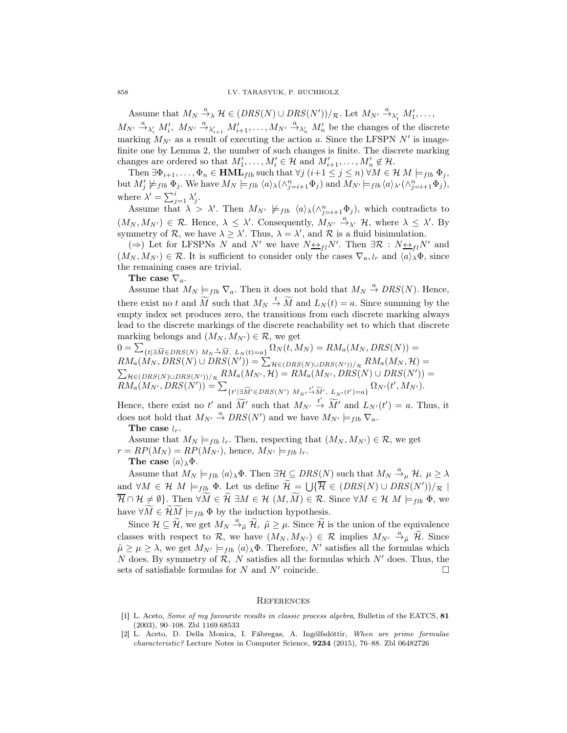Assume that  $M_N \xrightarrow{a} \mathcal{H} \in (DRS(N) \cup DRS(N'))/R$ . Let  $M_{N'} \xrightarrow{a}_{\lambda'_1} M'_1, \ldots,$  $M_{N'} \stackrel{a}{\rightarrow}_{\lambda'_i} M'_i$ ,  $M_{N'} \stackrel{a}{\rightarrow}_{\lambda'_{i+1}} M'_{i+1}, \ldots, M_{N'} \stackrel{a}{\rightarrow}_{\lambda'_n} M'_n$  be the changes of the discrete marking  $M_{N'}$  as a result of executing the action a. Since the LFSPN N' is imagefinite one by Lemma 2, the number of such changes is finite. The discrete marking changes are ordered so that  $M'_1, \ldots, M'_i \in \mathcal{H}$  and  $M'_{i+1}, \ldots, M'_n \notin \mathcal{H}$ .

Then  $\exists \Phi_{i+1}, \ldots, \Phi_n \in \text{HML}_{fib}$  such that  $\forall j \ (i+1 \leq j \leq n) \ \forall M \in \mathcal{H} \ M \models_{fib} \Phi_j$ , but  $M'_j \not\models_{flb} \Phi_j$ . We have  $M_N \models_{flb} \langle a \rangle_\lambda (\wedge_{j=i+1}^n \Phi_j)$  and  $M_{N'} \models_{flb} \langle a \rangle_{\lambda'} (\wedge_{j=i+1}^n \Phi_j)$ , where  $\lambda' = \sum_{j=1}^i \lambda'_j$ .

Assume that  $\lambda > \lambda'$ . Then  $M_{N'} \not\models_{fib} \langle a \rangle_{\lambda}(\wedge_{j=i+1}^{n} \Phi_j)$ , which contradicts to  $(M_N, M_{N'}) \in \mathcal{R}$ . Hence,  $\lambda \leq \lambda'$ . Consequently,  $M_{N'} \stackrel{a}{\rightarrow} \lambda' \mathcal{H}$ , where  $\lambda \leq \lambda'$ . By symmetry of  $\mathcal{R}$ , we have  $\lambda \geq \lambda'$ . Thus,  $\lambda = \lambda'$ , and  $\mathcal{R}$  is a fluid bisimulation.

(⇒) Let for LFSPNs N and N' we have  $N \underline{\leftrightarrow}_{fl} N'$ . Then  $\exists \mathcal{R} : N \underline{\leftrightarrow}_{fl} N'$  and  $(M_N, M_{N'}) \in \mathcal{R}$ . It is sufficient to consider only the cases  $\nabla_a, l_r$  and  $\langle a \rangle_\lambda \Phi$ , since the remaining cases are trivial.

#### The case  $\nabla_a$ .

Assume that  $M_N \models_{fib} \nabla_a$ . Then it does not hold that  $M_N \stackrel{a}{\rightarrow} DRS(N)$ . Hence, there exist no t and  $\widetilde{M}$  such that  $M_N \stackrel{t}{\rightarrow} \widetilde{M}$  and  $L_N(t) = a$ . Since summing by the empty index set produces zero, the transitions from each discrete marking always lead to the discrete markings of the discrete reachability set to which that discrete marking belongs and  $(M_N, M_{N'}) \in \mathcal{R}$ , we get

$$
0 = \sum_{\{t \mid \exists \widetilde{M} \in DRS(N) \ M_N \stackrel{t}{\rightarrow} \widetilde{M}, \ L_N(t) = a\}} \Omega_N(t, M_N) = RM_a(M_N, DRS(N)) =
$$
  
\n
$$
RM_a(M_N, DRS(N) \cup DRS(N')) = \sum_{\mathcal{H} \in (DRS(N) \cup DRS(N'))/\pi} RM_a(M_N, \mathcal{H}) =
$$
  
\n
$$
\sum_{\mathcal{H} \in (DRS(N) \cup DRS(N'))/\pi} RM_a(M_{N'}, \mathcal{H}) = RM_a(M_{N'}, DRS(N) \cup DRS(N')) =
$$
  
\n
$$
RM_a(M_{N'}, DRS(N')) = \sum_{\{t' \mid \exists \widetilde{M'} \in DRS(N') \ M_{N'}} \stackrel{t'}{\rightarrow} \widetilde{M'}, \ L_{N'}(t') = a\}} \Omega_{N'}(t', M_{N'}).
$$

Hence, there exist no t' and  $\widetilde{M}'$  such that  $M_{N'} \stackrel{t'}{\rightarrow} \widetilde{M}'$  and  $L_{N'}(t') = a$ . Thus, it does not hold that  $M_{N'} \stackrel{a}{\rightarrow} DRS(N')$  and we have  $M_{N'} \models_{fib} \nabla_a$ .

The case  $\wr_r$ .

Assume that  $M_N \models_{flb} \wr_r$ . Then, respecting that  $(M_N, M_{N'}) \in \mathcal{R}$ , we get  $r = RP(M_N) = RP(M_{N'})$ , hence,  $M_{N'} \models_{fib} l_r$ . The case  $\langle a \rangle_{\lambda} \Phi$ .

Assume that  $M_N \models_{fib} \langle a \rangle_\lambda \Phi$ . Then  $\exists \mathcal{H} \subseteq DRS(N)$  such that  $M_N \stackrel{a}{\rightarrow}_{\mu} \mathcal{H}, \ \mu \geq \lambda$ and  $\forall M \in \mathcal{H}$   $M \models_{flb} \Phi$ . Let us define  $\widetilde{\mathcal{H}} = \bigcup \{ \overline{\mathcal{H}} \in (DRS(N) \cup DRS(N')) / \mathcal{R} \mid \overline{\mathcal{H}} \models_{flb} \Phi$  $\overline{\mathcal{H}} \cap \mathcal{H} \neq \emptyset$ . Then  $\forall \widetilde{M} \in \widetilde{\mathcal{H}} \exists M \in \mathcal{H} \ (M, \widetilde{M}) \in \mathcal{R}$ . Since  $\forall M \in \mathcal{H} \ M \models_{fib} \Phi$ , we have  $\forall \widetilde{M} \in \widetilde{\mathcal{H}}\widetilde{M} \models_{fib} \Phi$  by the induction hypothesis.

Since  $\mathcal{H} \subseteq \widetilde{\mathcal{H}}$ , we get  $M_N \stackrel{a}{\rightarrow}_{\tilde{\mu}} \widetilde{\mathcal{H}}$ ,  $\tilde{\mu} \geq \mu$ . Since  $\widetilde{\mathcal{H}}$  is the union of the equivalence classes with respect to  $\mathcal{R}$ , we have  $(M_N, M_{N'}) \in \mathcal{R}$  implies  $M_{N'} \stackrel{a}{\to}_{\tilde{\mu}} \tilde{\mathcal{H}}$ . Since  $\tilde{\mu} \ge \mu \ge \lambda$ , we get  $M_{N'} \models_{fib} \langle a \rangle_{\lambda} \Phi$ . Therefore, N' satisfies all the formulas which N does. By symmetry of  $\mathcal{R}$ , N satisfies all the formulas which  $N'$  does. Thus, the sets of satisfiable formulas for N and N' coincide.  $\square$ 

#### **REFERENCES**

- [1] L. Aceto, Some of my favourite results in classic process algebra, Bulletin of the EATCS, 81 (2003), 90–108. Zbl 1169.68533
- [2] L. Aceto, D. Della Monica, I. Fábregas, A. Ingólfsdóttir, When are prime formulae characteristic? Lecture Notes in Computer Science, 9234 (2015), 76–88. Zbl 06482726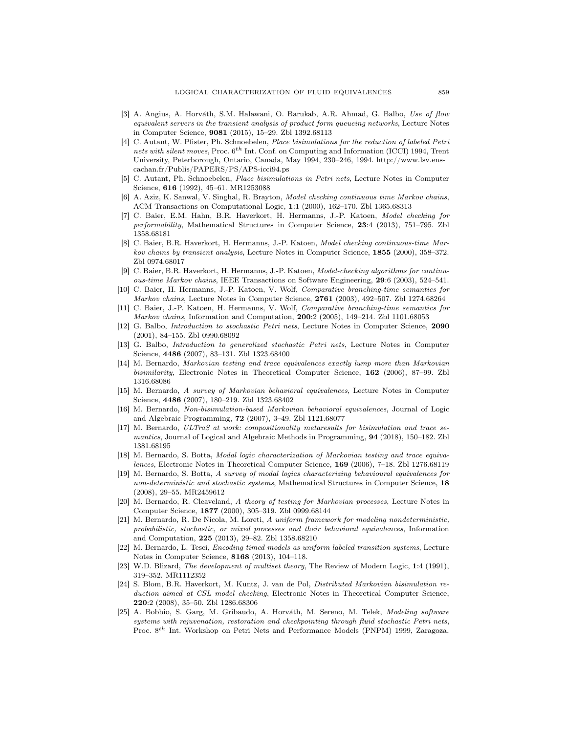- [3] A. Angius, A. Horváth, S.M. Halawani, O. Barukab, A.R. Ahmad, G. Balbo, Use of flow equivalent servers in the transient analysis of product form queueing networks, Lecture Notes in Computer Science, 9081 (2015), 15–29. Zbl 1392.68113
- [4] C. Autant, W. Pfister, Ph. Schnoebelen, Place bisimulations for the reduction of labeled Petri nets with silent moves, Proc.  $6^{th}$  Int. Conf. on Computing and Information (ICCI) 1994, Trent University, Peterborough, Ontario, Canada, May 1994, 230–246, 1994. http://www.lsv.enscachan.fr/Publis/PAPERS/PS/APS-icci94.ps
- [5] C. Autant, Ph. Schnoebelen, Place bisimulations in Petri nets, Lecture Notes in Computer Science, 616 (1992), 45–61. MR1253088
- [6] A. Aziz, K. Sanwal, V. Singhal, R. Brayton, Model checking continuous time Markov chains, ACM Transactions on Computational Logic, 1:1 (2000), 162–170. Zbl 1365.68313
- [7] C. Baier, E.M. Hahn, B.R. Haverkort, H. Hermanns, J.-P. Katoen, Model checking for performability, Mathematical Structures in Computer Science, 23:4 (2013), 751–795. Zbl 1358.68181
- [8] C. Baier, B.R. Haverkort, H. Hermanns, J.-P. Katoen, Model checking continuous-time Markov chains by transient analysis, Lecture Notes in Computer Science, 1855 (2000), 358–372. Zbl 0974.68017
- [9] C. Baier, B.R. Haverkort, H. Hermanns, J.-P. Katoen, Model-checking algorithms for continuous-time Markov chains, IEEE Transactions on Software Engineering, 29:6 (2003), 524–541.
- [10] C. Baier, H. Hermanns, J.-P. Katoen, V. Wolf, Comparative branching-time semantics for Markov chains, Lecture Notes in Computer Science, 2761 (2003), 492-507. Zbl 1274.68264
- [11] C. Baier, J.-P. Katoen, H. Hermanns, V. Wolf, Comparative branching-time semantics for Markov chains, Information and Computation, 200:2 (2005), 149-214. Zbl 1101.68053
- [12] G. Balbo, Introduction to stochastic Petri nets, Lecture Notes in Computer Science, 2090 (2001), 84–155. Zbl 0990.68092
- [13] G. Balbo, Introduction to generalized stochastic Petri nets, Lecture Notes in Computer Science, 4486 (2007), 83–131. Zbl 1323.68400
- [14] M. Bernardo, Markovian testing and trace equivalences exactly lump more than Markovian bisimilarity, Electronic Notes in Theoretical Computer Science, 162 (2006), 87-99. Zbl 1316.68086
- [15] M. Bernardo, A survey of Markovian behavioral equivalences, Lecture Notes in Computer Science, 4486 (2007), 180-219. Zbl 1323.68402
- [16] M. Bernardo, Non-bisimulation-based Markovian behavioral equivalences, Journal of Logic and Algebraic Programming, 72 (2007), 3–49. Zbl 1121.68077
- [17] M. Bernardo, ULTraS at work: compositionality metaresults for bisimulation and trace semantics, Journal of Logical and Algebraic Methods in Programming, 94 (2018), 150–182. Zbl 1381.68195
- [18] M. Bernardo, S. Botta, Modal logic characterization of Markovian testing and trace equivalences, Electronic Notes in Theoretical Computer Science, 169 (2006), 7–18. Zbl 1276.68119
- [19] M. Bernardo, S. Botta, A survey of modal logics characterizing behavioural equivalences for non-deterministic and stochastic systems, Mathematical Structures in Computer Science, 18 (2008), 29–55. MR2459612
- [20] M. Bernardo, R. Cleaveland, A theory of testing for Markovian processes, Lecture Notes in Computer Science, 1877 (2000), 305–319. Zbl 0999.68144
- [21] M. Bernardo, R. De Nicola, M. Loreti, A uniform framework for modeling nondeterministic, probabilistic, stochastic, or mixed processes and their behavioral equivalences, Information and Computation, 225 (2013), 29–82. Zbl 1358.68210
- [22] M. Bernardo, L. Tesei, Encoding timed models as uniform labeled transition systems, Lecture Notes in Computer Science, 8168 (2013), 104–118.
- [23] W.D. Blizard, The development of multiset theory, The Review of Modern Logic, 1:4 (1991), 319–352. MR1112352
- [24] S. Blom, B.R. Haverkort, M. Kuntz, J. van de Pol, Distributed Markovian bisimulation reduction aimed at CSL model checking, Electronic Notes in Theoretical Computer Science, 220:2 (2008), 35–50. Zbl 1286.68306
- [25] A. Bobbio, S. Garg, M. Gribaudo, A. Horváth, M. Sereno, M. Telek, Modeling software systems with rejuvenation, restoration and checkpointing through fluid stochastic Petri nets, Proc. 8<sup>th</sup> Int. Workshop on Petri Nets and Performance Models (PNPM) 1999, Zaragoza,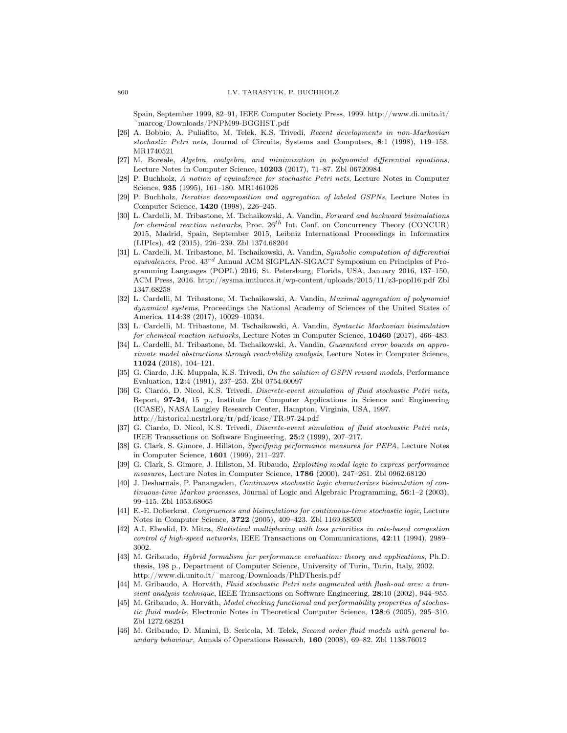Spain, September 1999, 82–91, IEEE Computer Society Press, 1999. http://www.di.unito.it/ ~marcog/Downloads/PNPM99-BGGHST.pdf

- [26] A. Bobbio, A. Puliafito, M. Telek, K.S. Trivedi, Recent developments in non-Markovian stochastic Petri nets, Journal of Circuits, Systems and Computers, 8:1 (1998), 119–158. MR1740521
- [27] M. Boreale, Algebra, coalgebra, and minimization in polynomial differential equations, Lecture Notes in Computer Science, 10203 (2017), 71–87. Zbl 06720984
- [28] P. Buchholz, A notion of equivalence for stochastic Petri nets, Lecture Notes in Computer Science, 935 (1995), 161–180. MR1461026
- [29] P. Buchholz, Iterative decomposition and aggregation of labeled GSPNs, Lecture Notes in Computer Science, 1420 (1998), 226–245.
- [30] L. Cardelli, M. Tribastone, M. Tschaikowski, A. Vandin, Forward and backward bisimulations for chemical reaction networks, Proc.  $26^{th}$  Int. Conf. on Concurrency Theory (CONCUR) 2015, Madrid, Spain, September 2015, Leibniz International Proceedings in Informatics (LIPIcs), 42 (2015), 226–239. Zbl 1374.68204
- [31] L. Cardelli, M. Tribastone, M. Tschaikowski, A. Vandin, Symbolic computation of differential  $equivalences$ , Proc.  $43^{rd}$  Annual ACM SIGPLAN-SIGACT Symposium on Principles of Programming Languages (POPL) 2016, St. Petersburg, Florida, USA, January 2016, 137–150, ACM Press, 2016. http://sysma.imtlucca.it/wp-content/uploads/2015/11/z3-popl16.pdf Zbl 1347.68258
- [32] L. Cardelli, M. Tribastone, M. Tschaikowski, A. Vandin, Maximal aggregation of polynomial dynamical systems, Proceedings the National Academy of Sciences of the United States of America, 114:38 (2017), 10029–10034.
- [33] L. Cardelli, M. Tribastone, M. Tschaikowski, A. Vandin, Syntactic Markovian bisimulation for chemical reaction networks, Lecture Notes in Computer Science, 10460 (2017), 466-483.
- [34] L. Cardelli, M. Tribastone, M. Tschaikowski, A. Vandin, Guaranteed error bounds on approximate model abstractions through reachability analysis, Lecture Notes in Computer Science, 11024 (2018), 104–121.
- [35] G. Ciardo, J.K. Muppala, K.S. Trivedi, On the solution of GSPN reward models, Performance Evaluation, 12:4 (1991), 237–253. Zbl 0754.60097
- [36] G. Ciardo, D. Nicol, K.S. Trivedi, Discrete-event simulation of fluid stochastic Petri nets, Report, 97-24, 15 p., Institute for Computer Applications in Science and Engineering (ICASE), NASA Langley Research Center, Hampton, Virginia, USA, 1997. http://historical.ncstrl.org/tr/pdf/icase/TR-97-24.pdf
- [37] G. Ciardo, D. Nicol, K.S. Trivedi, *Discrete-event simulation of fluid stochastic Petri nets*, IEEE Transactions on Software Engineering, 25:2 (1999), 207–217.
- [38] G. Clark, S. Gimore, J. Hillston, Specifying performance measures for PEPA, Lecture Notes in Computer Science, 1601 (1999), 211–227.
- [39] G. Clark, S. Gimore, J. Hillston, M. Ribaudo, Exploiting modal logic to express performance measures, Lecture Notes in Computer Science, 1786 (2000), 247–261. Zbl 0962.68120
- [40] J. Desharnais, P. Panangaden, Continuous stochastic logic characterizes bisimulation of continuous-time Markov processes, Journal of Logic and Algebraic Programming, 56:1–2 (2003), 99–115. Zbl 1053.68065
- [41] E.-E. Doberkrat, Congruences and bisimulations for continuous-time stochastic logic, Lecture Notes in Computer Science, 3722 (2005), 409–423. Zbl 1169.68503
- [42] A.I. Elwalid, D. Mitra, Statistical multiplexing with loss priorities in rate-based congestion control of high-speed networks, IEEE Transactions on Communications, 42:11 (1994), 2989– 3002.
- [43] M. Gribaudo, Hybrid formalism for performance evaluation: theory and applications, Ph.D. thesis, 198 p., Department of Computer Science, University of Turin, Turin, Italy, 2002. http://www.di.unito.it/~marcog/Downloads/PhDThesis.pdf
- [44] M. Gribaudo, A. Horváth, Fluid stochastic Petri nets augmented with flush-out arcs: a transient analysis technique, IEEE Transactions on Software Engineering, 28:10 (2002), 944–955.
- [45] M. Gribaudo, A. Horváth, Model checking functional and performability properties of stochastic fluid models, Electronic Notes in Theoretical Computer Science, 128:6 (2005), 295–310. Zbl 1272.68251
- [46] M. Gribaudo, D. Manini, B. Sericola, M. Telek, Second order fluid models with general boundary behaviour, Annals of Operations Research, 160 (2008), 69–82. Zbl 1138.76012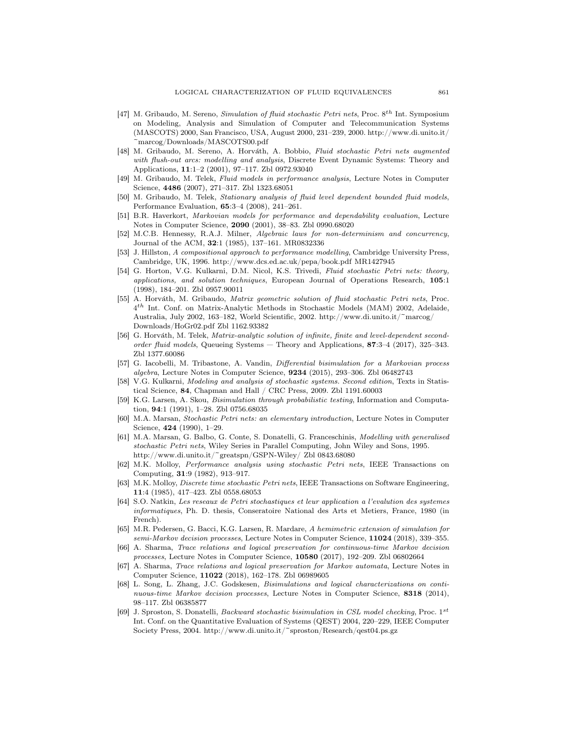- [47] M. Gribaudo, M. Sereno, Simulation of fluid stochastic Petri nets, Proc. 8<sup>th</sup> Int. Symposium on Modeling, Analysis and Simulation of Computer and Telecommunication Systems (MASCOTS) 2000, San Francisco, USA, August 2000, 231–239, 2000. http://www.di.unito.it/ ~marcog/Downloads/MASCOTS00.pdf
- [48] M. Gribaudo, M. Sereno, A. Horváth, A. Bobbio, Fluid stochastic Petri nets augmented with flush-out arcs: modelling and analysis, Discrete Event Dynamic Systems: Theory and Applications, 11:1–2 (2001), 97–117. Zbl 0972.93040
- [49] M. Gribaudo, M. Telek, Fluid models in performance analysis, Lecture Notes in Computer Science, 4486 (2007), 271–317. Zbl 1323.68051
- [50] M. Gribaudo, M. Telek, Stationary analysis of fluid level dependent bounded fluid models, Performance Evaluation, 65:3–4 (2008), 241–261.
- [51] B.R. Haverkort, Markovian models for performance and dependability evaluation, Lecture Notes in Computer Science, 2090 (2001), 38–83. Zbl 0990.68020
- [52] M.C.B. Hennessy, R.A.J. Milner, Algebraic laws for non-determinism and concurrency, Journal of the ACM, 32:1 (1985), 137–161. MR0832336
- [53] J. Hillston, A compositional approach to performance modelling, Cambridge University Press, Cambridge, UK, 1996. http://www.dcs.ed.ac.uk/pepa/book.pdf MR1427945
- [54] G. Horton, V.G. Kulkarni, D.M. Nicol, K.S. Trivedi, Fluid stochastic Petri nets: theory, applications, and solution techniques, European Journal of Operations Research, 105:1 (1998), 184–201. Zbl 0957.90011
- [55] A. Horváth, M. Gribaudo, Matrix geometric solution of fluid stochastic Petri nets, Proc. 4<sup>th</sup> Int. Conf. on Matrix-Analytic Methods in Stochastic Models (MAM) 2002, Adelaide, Australia, July 2002, 163–182, World Scientific, 2002. http://www.di.unito.it/~marcog/ Downloads/HoGr02.pdf Zbl 1162.93382
- [56] G. Horváth, M. Telek, Matrix-analytic solution of infinite, finite and level-dependent secondorder fluid models, Queueing Systems — Theory and Applications, 87:3–4 (2017), 325–343. Zbl 1377.60086
- [57] G. Iacobelli, M. Tribastone, A. Vandin, Differential bisimulation for a Markovian process algebra, Lecture Notes in Computer Science, 9234 (2015), 293–306. Zbl 06482743
- [58] V.G. Kulkarni, Modeling and analysis of stochastic systems. Second edition, Texts in Statistical Science, 84, Chapman and Hall / CRC Press, 2009. Zbl 1191.60003
- [59] K.G. Larsen, A. Skou, Bisimulation through probabilistic testing, Information and Computation, 94:1 (1991), 1–28. Zbl 0756.68035
- [60] M.A. Marsan, Stochastic Petri nets: an elementary introduction, Lecture Notes in Computer Science, 424 (1990), 1–29.
- [61] M.A. Marsan, G. Balbo, G. Conte, S. Donatelli, G. Franceschinis, Modelling with generalised stochastic Petri nets, Wiley Series in Parallel Computing, John Wiley and Sons, 1995. http://www.di.unito.it/~greatspn/GSPN-Wiley/ Zbl 0843.68080
- [62] M.K. Molloy, Performance analysis using stochastic Petri nets, IEEE Transactions on Computing, 31:9 (1982), 913–917.
- [63] M.K. Molloy, Discrete time stochastic Petri nets, IEEE Transactions on Software Engineering, 11:4 (1985), 417–423. Zbl 0558.68053
- [64] S.O. Natkin, Les reseaux de Petri stochastiques et leur application a l'evalution des systemes informatiques, Ph. D. thesis, Conseratoire National des Arts et Metiers, France, 1980 (in French).
- [65] M.R. Pedersen, G. Bacci, K.G. Larsen, R. Mardare, A hemimetric extension of simulation for semi-Markov decision processes, Lecture Notes in Computer Science, 11024 (2018), 339-355.
- [66] A. Sharma, Trace relations and logical preservation for continuous-time Markov decision processes, Lecture Notes in Computer Science, 10580 (2017), 192–209. Zbl 06802664
- [67] A. Sharma, Trace relations and logical preservation for Markov automata, Lecture Notes in Computer Science, 11022 (2018), 162–178. Zbl 06989605
- [68] L. Song, L. Zhang, J.C. Godskesen, Bisimulations and logical characterizations on continuous-time Markov decision processes, Lecture Notes in Computer Science, 8318 (2014), 98–117. Zbl 06385877
- [69] J. Sproston, S. Donatelli, Backward stochastic bisimulation in CSL model checking, Proc. 1st Int. Conf. on the Quantitative Evaluation of Systems (QEST) 2004, 220–229, IEEE Computer Society Press, 2004. http://www.di.unito.it/~sproston/Research/qest04.ps.gz